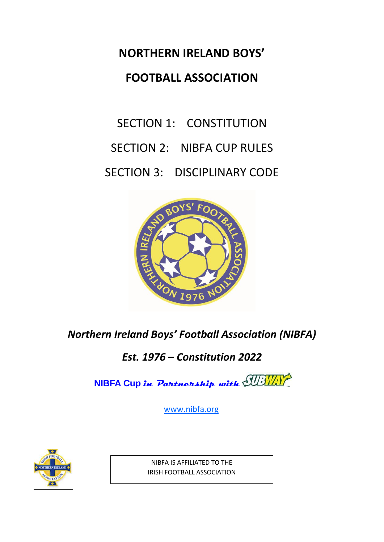# **NORTHERN IRELAND BOYS' FOOTBALL ASSOCIATION**

# SECTION 1: CONSTITUTION SECTION 2: NIBFA CUP RULES SECTION 3: DISCIPLINARY CODE



# *Northern Ireland Boys' Football Association (NIBFA)*

*Est. 1976 – Constitution 2022*

**NIBFA Cup in Partnership with**

[www.nibfa.org](http://www.nibfa.org/)



NIBFA IS AFFILIATED TO THE IRISH FOOTBALL ASSOCIATION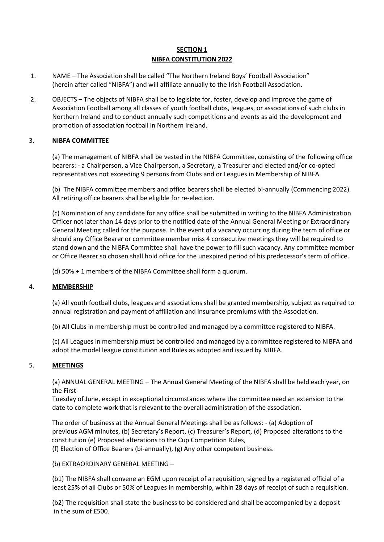#### **SECTION 1 NIBFA CONSTITUTION 2022**

- 1. NAME The Association shall be called "The Northern Ireland Boys' Football Association" (herein after called "NIBFA") and will affiliate annually to the Irish Football Association.
- 2. OBJECTS The objects of NIBFA shall be to legislate for, foster, develop and improve the game of Association Football among all classes of youth football clubs, leagues, or associations of such clubs in Northern Ireland and to conduct annually such competitions and events as aid the development and promotion of association football in Northern Ireland.

#### 3. **NIBFA COMMITTEE**

(a) The management of NIBFA shall be vested in the NIBFA Committee, consisting of the following office bearers: - a Chairperson, a Vice Chairperson, a Secretary, a Treasurer and elected and/or co-opted representatives not exceeding 9 persons from Clubs and or Leagues in Membership of NIBFA.

(b) The NIBFA committee members and office bearers shall be elected bi-annually (Commencing 2022). All retiring office bearers shall be eligible for re-election.

(c) Nomination of any candidate for any office shall be submitted in writing to the NIBFA Administration Officer not later than 14 days prior to the notified date of the Annual General Meeting or Extraordinary General Meeting called for the purpose. In the event of a vacancy occurring during the term of office or should any Office Bearer or committee member miss 4 consecutive meetings they will be required to stand down and the NIBFA Committee shall have the power to fill such vacancy. Any committee member or Office Bearer so chosen shall hold office for the unexpired period of his predecessor's term of office.

(d) 50% + 1 members of the NIBFA Committee shall form a quorum.

#### 4. **MEMBERSHIP**

(a) All youth football clubs, leagues and associations shall be granted membership, subject as required to annual registration and payment of affiliation and insurance premiums with the Association.

(b) All Clubs in membership must be controlled and managed by a committee registered to NIBFA.

(c) All Leagues in membership must be controlled and managed by a committee registered to NIBFA and adopt the model league constitution and Rules as adopted and issued by NIBFA.

#### 5. **MEETINGS**

(a) ANNUAL GENERAL MEETING – The Annual General Meeting of the NIBFA shall be held each year, on the First

Tuesday of June, except in exceptional circumstances where the committee need an extension to the date to complete work that is relevant to the overall administration of the association.

The order of business at the Annual General Meetings shall be as follows: - (a) Adoption of previous AGM minutes, (b) Secretary's Report, (c) Treasurer's Report, (d) Proposed alterations to the constitution (e) Proposed alterations to the Cup Competition Rules,

(f) Election of Office Bearers (bi-annually), (g) Any other competent business.

(b) EXTRAORDINARY GENERAL MEETING –

(b1) The NIBFA shall convene an EGM upon receipt of a requisition, signed by a registered official of a least 25% of all Clubs or 50% of Leagues in membership, within 28 days of receipt of such a requisition.

(b2) The requisition shall state the business to be considered and shall be accompanied by a deposit in the sum of £500.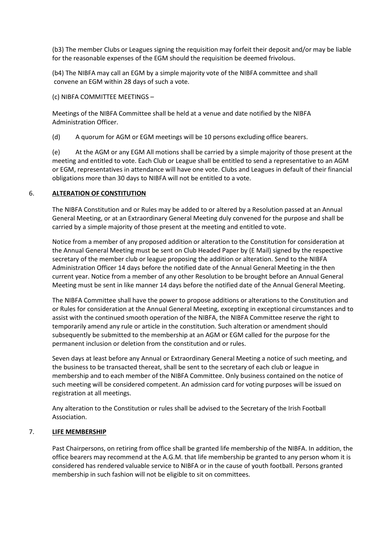(b3) The member Clubs or Leagues signing the requisition may forfeit their deposit and/or may be liable for the reasonable expenses of the EGM should the requisition be deemed frivolous.

(b4) The NIBFA may call an EGM by a simple majority vote of the NIBFA committee and shall convene an EGM within 28 days of such a vote.

(c) NIBFA COMMITTEE MEETINGS –

Meetings of the NIBFA Committee shall be held at a venue and date notified by the NIBFA Administration Officer.

(d) A quorum for AGM or EGM meetings will be 10 persons excluding office bearers.

(e) At the AGM or any EGM All motions shall be carried by a simple majority of those present at the meeting and entitled to vote. Each Club or League shall be entitled to send a representative to an AGM or EGM, representatives in attendance will have one vote. Clubs and Leagues in default of their financial obligations more than 30 days to NIBFA will not be entitled to a vote.

#### 6. **ALTERATION OF CONSTITUTION**

The NIBFA Constitution and or Rules may be added to or altered by a Resolution passed at an Annual General Meeting, or at an Extraordinary General Meeting duly convened for the purpose and shall be carried by a simple majority of those present at the meeting and entitled to vote.

Notice from a member of any proposed addition or alteration to the Constitution for consideration at the Annual General Meeting must be sent on Club Headed Paper by (E Mail) signed by the respective secretary of the member club or league proposing the addition or alteration. Send to the NIBFA Administration Officer 14 days before the notified date of the Annual General Meeting in the then current year. Notice from a member of any other Resolution to be brought before an Annual General Meeting must be sent in like manner 14 days before the notified date of the Annual General Meeting.

The NIBFA Committee shall have the power to propose additions or alterations to the Constitution and or Rules for consideration at the Annual General Meeting, excepting in exceptional circumstances and to assist with the continued smooth operation of the NIBFA, the NIBFA Committee reserve the right to temporarily amend any rule or article in the constitution. Such alteration or amendment should subsequently be submitted to the membership at an AGM or EGM called for the purpose for the permanent inclusion or deletion from the constitution and or rules.

Seven days at least before any Annual or Extraordinary General Meeting a notice of such meeting, and the business to be transacted thereat, shall be sent to the secretary of each club or league in membership and to each member of the NIBFA Committee. Only business contained on the notice of such meeting will be considered competent. An admission card for voting purposes will be issued on registration at all meetings.

Any alteration to the Constitution or rules shall be advised to the Secretary of the Irish Football Association.

#### 7. **LIFE MEMBERSHIP**

Past Chairpersons, on retiring from office shall be granted life membership of the NIBFA. In addition, the office bearers may recommend at the A.G.M. that life membership be granted to any person whom it is considered has rendered valuable service to NIBFA or in the cause of youth football. Persons granted membership in such fashion will not be eligible to sit on committees.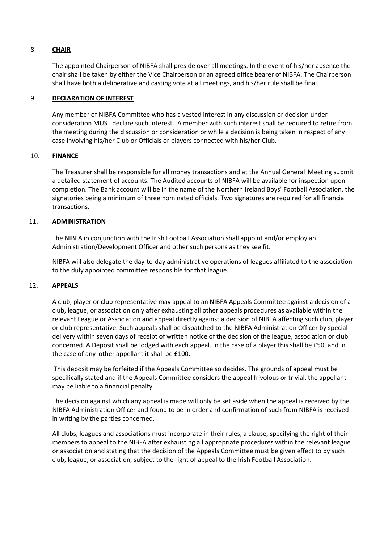#### 8. **CHAIR**

The appointed Chairperson of NIBFA shall preside over all meetings. In the event of his/her absence the chair shall be taken by either the Vice Chairperson or an agreed office bearer of NIBFA. The Chairperson shall have both a deliberative and casting vote at all meetings, and his/her rule shall be final.

#### 9. **DECLARATION OF INTEREST**

Any member of NIBFA Committee who has a vested interest in any discussion or decision under consideration MUST declare such interest. A member with such interest shall be required to retire from the meeting during the discussion or consideration or while a decision is being taken in respect of any case involving his/her Club or Officials or players connected with his/her Club.

#### 10. **FINANCE**

The Treasurer shall be responsible for all money transactions and at the Annual General Meeting submit a detailed statement of accounts. The Audited accounts of NIBFA will be available for inspection upon completion. The Bank account will be in the name of the Northern Ireland Boys' Football Association, the signatories being a minimum of three nominated officials. Two signatures are required for all financial transactions.

#### 11. **ADMINISTRATION**

The NIBFA in conjunction with the Irish Football Association shall appoint and/or employ an Administration/Development Officer and other such persons as they see fit.

NIBFA will also delegate the day-to-day administrative operations of leagues affiliated to the association to the duly appointed committee responsible for that league.

#### 12. **APPEALS**

A club, player or club representative may appeal to an NIBFA Appeals Committee against a decision of a club, league, or association only after exhausting all other appeals procedures as available within the relevant League or Association and appeal directly against a decision of NIBFA affecting such club, player or club representative. Such appeals shall be dispatched to the NIBFA Administration Officer by special delivery within seven days of receipt of written notice of the decision of the league, association or club concerned. A Deposit shall be lodged with each appeal. In the case of a player this shall be £50, and in the case of any other appellant it shall be £100.

This deposit may be forfeited if the Appeals Committee so decides. The grounds of appeal must be specifically stated and if the Appeals Committee considers the appeal frivolous or trivial, the appellant may be liable to a financial penalty.

The decision against which any appeal is made will only be set aside when the appeal is received by the NIBFA Administration Officer and found to be in order and confirmation of such from NIBFA is received in writing by the parties concerned.

All clubs, leagues and associations must incorporate in their rules, a clause, specifying the right of their members to appeal to the NIBFA after exhausting all appropriate procedures within the relevant league or association and stating that the decision of the Appeals Committee must be given effect to by such club, league, or association, subject to the right of appeal to the Irish Football Association.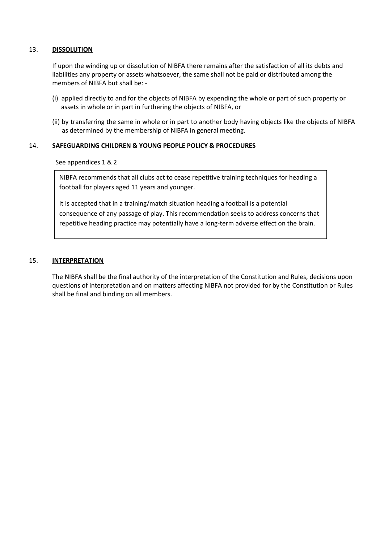#### 13. **DISSOLUTION**

If upon the winding up or dissolution of NIBFA there remains after the satisfaction of all its debts and liabilities any property or assets whatsoever, the same shall not be paid or distributed among the members of NIBFA but shall be: -

- (i) applied directly to and for the objects of NIBFA by expending the whole or part of such property or assets in whole or in part in furthering the objects of NIBFA, or
- (ii) by transferring the same in whole or in part to another body having objects like the objects of NIBFA as determined by the membership of NIBFA in general meeting.

#### 14. **SAFEGUARDING CHILDREN & YOUNG PEOPLE POLICY & PROCEDURES**

See appendices 1 & 2

NIBFA recommends that all clubs act to cease repetitive training techniques for heading a football for players aged 11 years and younger.

It is accepted that in a training/match situation heading a football is a potential consequence of any passage of play. This recommendation seeks to address concerns that repetitive heading practice may potentially have a long-term adverse effect on the brain.

#### 15. **INTERPRETATION**

The NIBFA shall be the final authority of the interpretation of the Constitution and Rules, decisions upon questions of interpretation and on matters affecting NIBFA not provided for by the Constitution or Rules shall be final and binding on all members.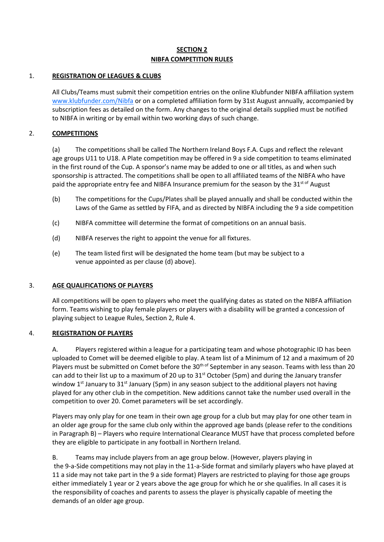### **SECTION 2 NIBFA COMPETITION RULES**

#### 1. **REGISTRATION OF LEAGUES & CLUBS**

All Clubs/Teams must submit their competition entries on the online Klubfunder NIBFA affiliation system [www.klubfunder.com/Nibfa](https://www.klubfunder.com/Nibfa/NIBFA/NibfaForm) or on a completed affiliation form by 31st August annually, accompanied by subscription fees as detailed on the form. Any changes to the original details supplied must be notified to NIBFA in writing or by email within two working days of such change.

#### 2. **COMPETITIONS**

(a) The competitions shall be called The Northern Ireland Boys F.A. Cups and reflect the relevant age groups U11 to U18. A Plate competition may be offered in 9 a side competition to teams eliminated in the first round of the Cup. A sponsor's name may be added to one or all titles, as and when such sponsorship is attracted. The competitions shall be open to all affiliated teams of the NIBFA who have paid the appropriate entry fee and NIBFA Insurance premium for the season by the  $31<sup>st of</sup>$  August

- (b) The competitions for the Cups/Plates shall be played annually and shall be conducted within the Laws of the Game as settled by FIFA, and as directed by NIBFA including the 9 a side competition
- (c) NIBFA committee will determine the format of competitions on an annual basis.
- (d) NIBFA reserves the right to appoint the venue for all fixtures.
- (e) The team listed first will be designated the home team (but may be subject to a venue appointed as per clause (d) above).

#### 3. **AGE QUALIFICATIONS OF PLAYERS**

All competitions will be open to players who meet the qualifying dates as stated on the NIBFA affiliation form. Teams wishing to play female players or players with a disability will be granted a concession of playing subject to League Rules, Section 2, Rule 4.

#### 4. **REGISTRATION OF PLAYERS**

A. Players registered within a league for a participating team and whose photographic ID has been uploaded to Comet will be deemed eligible to play. A team list of a Minimum of 12 and a maximum of 20 Players must be submitted on Comet before the 30<sup>th of</sup> September in any season. Teams with less than 20 can add to their list up to a maximum of 20 up to  $31<sup>st</sup>$  October (5pm) and during the January transfer window  $1<sup>st</sup>$  January to 31<sup>st</sup> January (5pm) in any season subject to the additional players not having played for any other club in the competition. New additions cannot take the number used overall in the competition to over 20. Comet parameters will be set accordingly.

Players may only play for one team in their own age group for a club but may play for one other team in an older age group for the same club only within the approved age bands (please refer to the conditions in Paragraph B) – Players who require International Clearance MUST have that process completed before they are eligible to participate in any football in Northern Ireland.

B. Teams may include players from an age group below. (However, players playing in the 9-a-Side competitions may not play in the 11-a-Side format and similarly players who have played at 11 a side may not take part in the 9 a side format) Players are restricted to playing for those age groups either immediately 1 year or 2 years above the age group for which he or she qualifies. In all cases it is the responsibility of coaches and parents to assess the player is physically capable of meeting the demands of an older age group.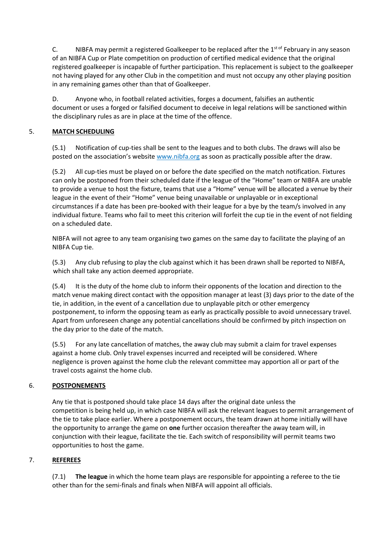C.  $\blacksquare$  NIBFA may permit a registered Goalkeeper to be replaced after the 1<sup>st of</sup> February in any season of an NIBFA Cup or Plate competition on production of certified medical evidence that the original registered goalkeeper is incapable of further participation. This replacement is subject to the goalkeeper not having played for any other Club in the competition and must not occupy any other playing position in any remaining games other than that of Goalkeeper.

D. Anyone who, in football related activities, forges a document, falsifies an authentic document or uses a forged or falsified document to deceive in legal relations will be sanctioned within the disciplinary rules as are in place at the time of the offence.

#### 5. **MATCH SCHEDULING**

(5.1) Notification of cup-ties shall be sent to the leagues and to both clubs. The draws will also be posted on the association's website www.nibfa.org as soon as practically possible after the draw.

(5.2) All cup-ties must be played on or before the date specified on the match notification. Fixtures can only be postponed from their scheduled date if the league of the "Home" team or NIBFA are unable to provide a venue to host the fixture, teams that use a "Home" venue will be allocated a venue by their league in the event of their "Home" venue being unavailable or unplayable or in exceptional circumstances if a date has been pre-booked with their league for a bye by the team/s involved in any individual fixture. Teams who fail to meet this criterion will forfeit the cup tie in the event of not fielding on a scheduled date.

NIBFA will not agree to any team organising two games on the same day to facilitate the playing of an NIBFA Cup tie.

(5.3) Any club refusing to play the club against which it has been drawn shall be reported to NIBFA, which shall take any action deemed appropriate.

(5.4) It is the duty of the home club to inform their opponents of the location and direction to the match venue making direct contact with the opposition manager at least (3) days prior to the date of the tie, in addition, in the event of a cancellation due to unplayable pitch or other emergency postponement, to inform the opposing team as early as practically possible to avoid unnecessary travel. Apart from unforeseen change any potential cancellations should be confirmed by pitch inspection on the day prior to the date of the match.

(5.5) For any late cancellation of matches, the away club may submit a claim for travel expenses against a home club. Only travel expenses incurred and receipted will be considered. Where negligence is proven against the home club the relevant committee may apportion all or part of the travel costs against the home club.

#### 6. **POSTPONEMENTS**

Any tie that is postponed should take place 14 days after the original date unless the competition is being held up, in which case NIBFA will ask the relevant leagues to permit arrangement of the tie to take place earlier. Where a postponement occurs, the team drawn at home initially will have the opportunity to arrange the game on **one** further occasion thereafter the away team will, in conjunction with their league, facilitate the tie. Each switch of responsibility will permit teams two opportunities to host the game.

#### 7. **REFEREES**

(7.1) **The league** in which the home team plays are responsible for appointing a referee to the tie other than for the semi-finals and finals when NIBFA will appoint all officials.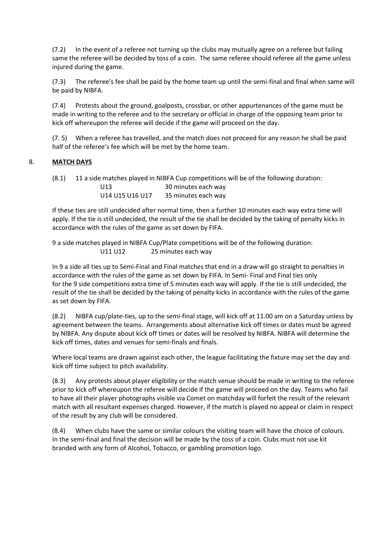(7.2) In the event of a referee not turning up the clubs may mutually agree on a referee but failing same the referee will be decided by toss of a coin. The same referee should referee all the game unless injured during the game.

(7.3) The referee's fee shall be paid by the home team up until the semi-final and final when same will be paid by NIBFA.

(7.4) Protests about the ground, goalposts, crossbar, or other appurtenances of the game must be made in writing to the referee and to the secretary or official in charge of the opposing team prior to kick off whereupon the referee will decide if the game will proceed on the day.

(7. 5) When a referee has travelled, and the match does not proceed for any reason he shall be paid half of the referee's fee which will be met by the home team.

#### 8. **MATCH DAYS**

(8.1) 11 a side matches played in NIBFA Cup competitions will be of the following duration: U13 30 minutes each way U14 U15 U16 U17 35 minutes each way

If these ties are still undecided after normal time, then a further 10 minutes each way extra time will apply. If the tie is still undecided, the result of the tie shall be decided by the taking of penalty kicks in accordance with the rules of the game as set down by FIFA.

9 a side matches played in NIBFA Cup/Plate competitions will be of the following duration: U11 U12 25 minutes each way

In 9 a side all ties up to Semi-Final and Final matches that end in a draw will go straight to penalties in accordance with the rules of the game as set down by FIFA. In Semi- Final and Final ties only for the 9 side competitions extra time of 5 minutes each way will apply. If the tie is still undecided, the result of the tie shall be decided by the taking of penalty kicks in accordance with the rules of the game as set down by FIFA.

(8.2) NIBFA cup/plate-ties, up to the semi-final stage, will kick off at 11.00 am on a Saturday unless by agreement between the teams. Arrangements about alternative kick off times or dates must be agreed by NIBFA. Any dispute about kick off times or dates will be resolved by NIBFA. NIBFA will determine the kick off times, dates and venues for semi-finals and finals.

Where local teams are drawn against each other, the league facilitating the fixture may set the day and kick off time subject to pitch availability.

(8.3) Any protests about player eligibility or the match venue should be made in writing to the referee prior to kick off whereupon the referee will decide if the game will proceed on the day. Teams who fail to have all their player photographs visible via Comet on matchday will forfeit the result of the relevant match with all resultant expenses charged. However, if the match is played no appeal or claim in respect of the result by any club will be considered.

(8.4) When clubs have the same or similar colours the visiting team will have the choice of colours. In the semi-final and final the decision will be made by the toss of a coin. Clubs must not use kit branded with any form of Alcohol, Tobacco, or gambling promotion logo.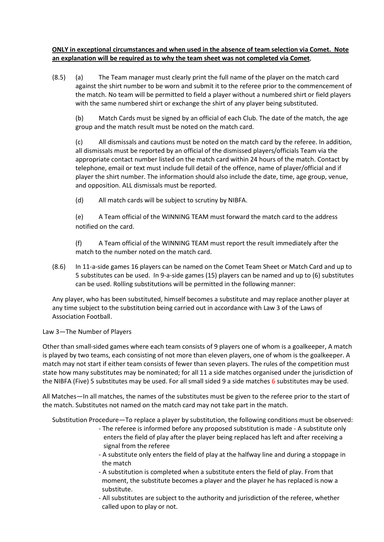**ONLY in exceptional circumstances and when used in the absence of team selection via Comet. Note an explanation will be required as to why the team sheet was not completed via Comet**,

(8.5) (a) The Team manager must clearly print the full name of the player on the match card against the shirt number to be worn and submit it to the referee prior to the commencement of the match. No team will be permitted to field a player without a numbered shirt or field players with the same numbered shirt or exchange the shirt of any player being substituted.

(b) Match Cards must be signed by an official of each Club. The date of the match, the age group and the match result must be noted on the match card.

(c) All dismissals and cautions must be noted on the match card by the referee. In addition, all dismissals must be reported by an official of the dismissed players/officials Team via the appropriate contact number listed on the match card within 24 hours of the match. Contact by telephone, email or text must include full detail of the offence, name of player/official and if player the shirt number. The information should also include the date, time, age group, venue, and opposition. ALL dismissals must be reported.

(d) All match cards will be subject to scrutiny by NIBFA.

(e) A Team official of the WINNING TEAM must forward the match card to the address notified on the card.

(f) A Team official of the WINNING TEAM must report the result immediately after the match to the number noted on the match card.

(8.6) In 11-a-side games 16 players can be named on the Comet Team Sheet or Match Card and up to 5 substitutes can be used. In 9-a-side games (15) players can be named and up to (6) substitutes can be used. Rolling substitutions will be permitted in the following manner:

Any player, who has been substituted, himself becomes a substitute and may replace another player at any time subject to the substitution being carried out in accordance with Law 3 of the Laws of Association Football.

#### Law 3—The Number of Players

Other than small-sided games where each team consists of 9 players one of whom is a goalkeeper, A match is played by two teams, each consisting of not more than eleven players, one of whom is the goalkeeper. A match may not start if either team consists of fewer than seven players. The rules of the competition must state how many substitutes may be nominated; for all 11 a side matches organised under the jurisdiction of the NIBFA (Five) 5 substitutes may be used. For all small sided 9 a side matches 6 substitutes may be used.

All Matches—In all matches, the names of the substitutes must be given to the referee prior to the start of the match. Substitutes not named on the match card may not take part in the match.

Substitution Procedure—To replace a player by substitution, the following conditions must be observed:

- The referee is informed before any proposed substitution is made A substitute only enters the field of play after the player being replaced has left and after receiving a signal from the referee
- A substitute only enters the field of play at the halfway line and during a stoppage in the match
- A substitution is completed when a substitute enters the field of play. From that moment, the substitute becomes a player and the player he has replaced is now a substitute.
- All substitutes are subject to the authority and jurisdiction of the referee, whether called upon to play or not.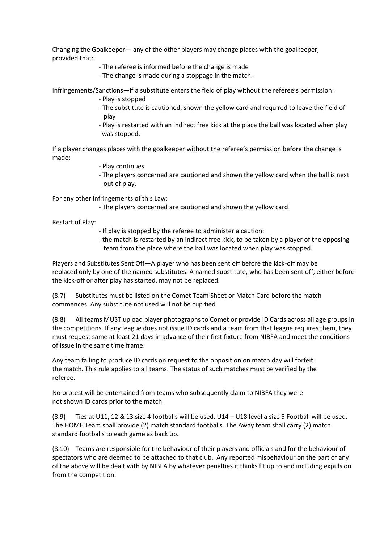Changing the Goalkeeper— any of the other players may change places with the goalkeeper, provided that:

- The referee is informed before the change is made
- The change is made during a stoppage in the match.

Infringements/Sanctions—If a substitute enters the field of play without the referee's permission:

- Play is stopped
- The substitute is cautioned, shown the yellow card and required to leave the field of play
- Play is restarted with an indirect free kick at the place the ball was located when play was stopped.

If a player changes places with the goalkeeper without the referee's permission before the change is made:

- Play continues
- The players concerned are cautioned and shown the yellow card when the ball is next out of play.

For any other infringements of this Law:

- The players concerned are cautioned and shown the yellow card

Restart of Play:

- If play is stopped by the referee to administer a caution:
- the match is restarted by an indirect free kick, to be taken by a player of the opposing team from the place where the ball was located when play was stopped.

Players and Substitutes Sent Off—A player who has been sent off before the kick-off may be replaced only by one of the named substitutes. A named substitute, who has been sent off, either before the kick-off or after play has started, may not be replaced.

(8.7) Substitutes must be listed on the Comet Team Sheet or Match Card before the match commences. Any substitute not used will not be cup tied.

(8.8) All teams MUST upload player photographs to Comet or provide ID Cards across all age groups in the competitions. If any league does not issue ID cards and a team from that league requires them, they must request same at least 21 days in advance of their first fixture from NIBFA and meet the conditions of issue in the same time frame.

 Any team failing to produce ID cards on request to the opposition on match day will forfeit the match. This rule applies to all teams. The status of such matches must be verified by the referee.

No protest will be entertained from teams who subsequently claim to NIBFA they were not shown ID cards prior to the match.

(8.9) Ties at U11, 12 & 13 size 4 footballs will be used. U14 – U18 level a size 5 Football will be used. The HOME Team shall provide (2) match standard footballs. The Away team shall carry (2) match standard footballs to each game as back up.

(8.10) Teams are responsible for the behaviour of their players and officials and for the behaviour of spectators who are deemed to be attached to that club. Any reported misbehaviour on the part of any of the above will be dealt with by NIBFA by whatever penalties it thinks fit up to and including expulsion from the competition.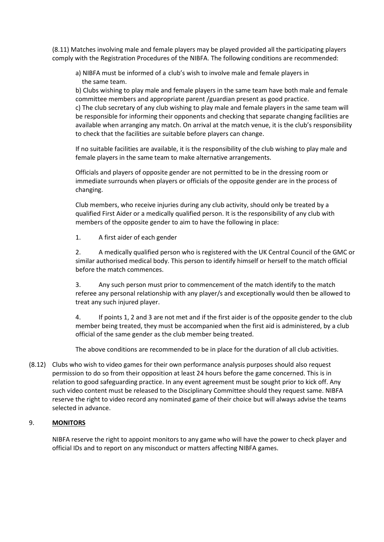(8.11) Matches involving male and female players may be played provided all the participating players comply with the Registration Procedures of the NIBFA. The following conditions are recommended:

a) NIBFA must be informed of a club's wish to involve male and female players in the same team.

b) Clubs wishing to play male and female players in the same team have both male and female committee members and appropriate parent /guardian present as good practice.

c) The club secretary of any club wishing to play male and female players in the same team will be responsible for informing their opponents and checking that separate changing facilities are available when arranging any match. On arrival at the match venue, it is the club's responsibility to check that the facilities are suitable before players can change.

If no suitable facilities are available, it is the responsibility of the club wishing to play male and female players in the same team to make alternative arrangements.

Officials and players of opposite gender are not permitted to be in the dressing room or immediate surrounds when players or officials of the opposite gender are in the process of changing.

Club members, who receive injuries during any club activity, should only be treated by a qualified First Aider or a medically qualified person. It is the responsibility of any club with members of the opposite gender to aim to have the following in place:

1. A first aider of each gender

2. A medically qualified person who is registered with the UK Central Council of the GMC or similar authorised medical body. This person to identify himself or herself to the match official before the match commences.

3. Any such person must prior to commencement of the match identify to the match referee any personal relationship with any player/s and exceptionally would then be allowed to treat any such injured player.

4. If points 1, 2 and 3 are not met and if the first aider is of the opposite gender to the club member being treated, they must be accompanied when the first aid is administered, by a club official of the same gender as the club member being treated.

The above conditions are recommended to be in place for the duration of all club activities.

(8.12) Clubs who wish to video games for their own performance analysis purposes should also request permission to do so from their opposition at least 24 hours before the game concerned. This is in relation to good safeguarding practice. In any event agreement must be sought prior to kick off. Any such video content must be released to the Disciplinary Committee should they request same. NIBFA reserve the right to video record any nominated game of their choice but will always advise the teams selected in advance.

#### 9. **MONITORS**

NIBFA reserve the right to appoint monitors to any game who will have the power to check player and official IDs and to report on any misconduct or matters affecting NIBFA games.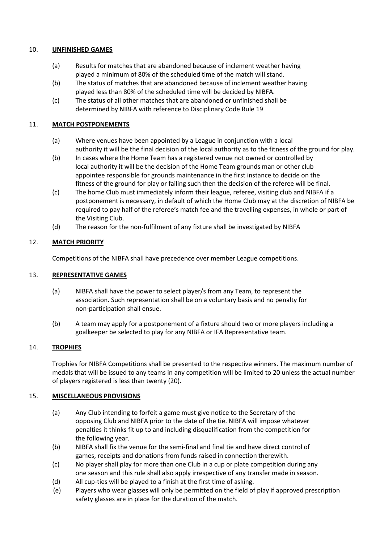#### 10. **UNFINISHED GAMES**

- (a) Results for matches that are abandoned because of inclement weather having played a minimum of 80% of the scheduled time of the match will stand.
- (b) The status of matches that are abandoned because of inclement weather having played less than 80% of the scheduled time will be decided by NIBFA.
- (c) The status of all other matches that are abandoned or unfinished shall be determined by NIBFA with reference to Disciplinary Code Rule 19

#### 11. **MATCH POSTPONEMENTS**

- (a) Where venues have been appointed by a League in conjunction with a local authority it will be the final decision of the local authority as to the fitness of the ground for play.
- (b) In cases where the Home Team has a registered venue not owned or controlled by local authority it will be the decision of the Home Team grounds man or other club appointee responsible for grounds maintenance in the first instance to decide on the fitness of the ground for play or failing such then the decision of the referee will be final.
- (c) The home Club must immediately inform their league, referee, visiting club and NIBFA if a postponement is necessary, in default of which the Home Club may at the discretion of NIBFA be required to pay half of the referee's match fee and the travelling expenses, in whole or part of the Visiting Club.
- (d) The reason for the non-fulfilment of any fixture shall be investigated by NIBFA

#### 12. **MATCH PRIORITY**

Competitions of the NIBFA shall have precedence over member League competitions.

#### 13. **REPRESENTATIVE GAMES**

- (a) NIBFA shall have the power to select player/s from any Team, to represent the association. Such representation shall be on a voluntary basis and no penalty for non-participation shall ensue.
- (b) A team may apply for a postponement of a fixture should two or more players including a goalkeeper be selected to play for any NIBFA or IFA Representative team.

#### 14. **TROPHIES**

Trophies for NIBFA Competitions shall be presented to the respective winners. The maximum number of medals that will be issued to any teams in any competition will be limited to 20 unless the actual number of players registered is less than twenty (20).

#### 15. **MISCELLANEOUS PROVISIONS**

- (a) Any Club intending to forfeit a game must give notice to the Secretary of the opposing Club and NIBFA prior to the date of the tie. NIBFA will impose whatever penalties it thinks fit up to and including disqualification from the competition for the following year.
- (b) NIBFA shall fix the venue for the semi-final and final tie and have direct control of games, receipts and donations from funds raised in connection therewith.
- (c) No player shall play for more than one Club in a cup or plate competition during any one season and this rule shall also apply irrespective of any transfer made in season.
- (d) All cup-ties will be played to a finish at the first time of asking.
- (e) Players who wear glasses will only be permitted on the field of play if approved prescription safety glasses are in place for the duration of the match.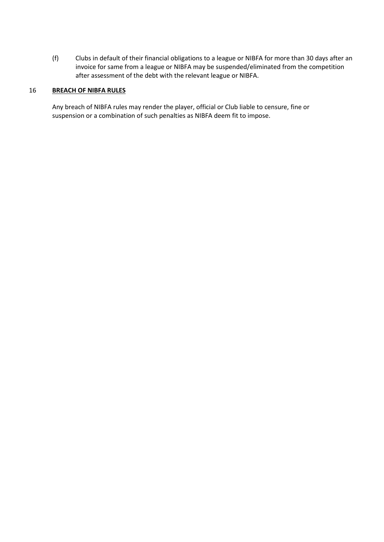(f) Clubs in default of their financial obligations to a league or NIBFA for more than 30 days after an invoice for same from a league or NIBFA may be suspended/eliminated from the competition after assessment of the debt with the relevant league or NIBFA.

#### 16 **BREACH OF NIBFA RULES**

Any breach of NIBFA rules may render the player, official or Club liable to censure, fine or suspension or a combination of such penalties as NIBFA deem fit to impose.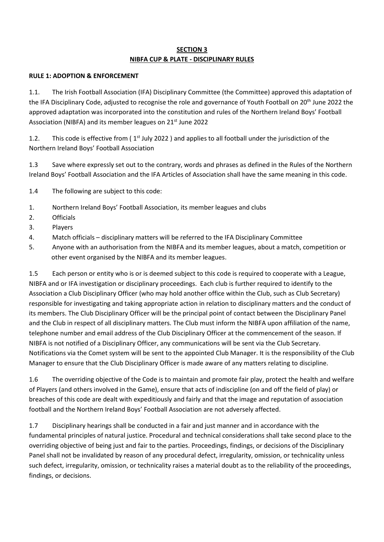### **SECTION 3 NIBFA CUP & PLATE - DISCIPLINARY RULES**

#### **RULE 1: ADOPTION & ENFORCEMENT**

1.1. The Irish Football Association (IFA) Disciplinary Committee (the Committee) approved this adaptation of the IFA Disciplinary Code, adjusted to recognise the role and governance of Youth Football on 20<sup>th</sup> June 2022 the approved adaptation was incorporated into the constitution and rules of the Northern Ireland Boys' Football Association (NIBFA) and its member leagues on 21<sup>st</sup> June 2022

1.2. This code is effective from  $(1<sup>st</sup>$  July 2022 ) and applies to all football under the jurisdiction of the Northern Ireland Boys' Football Association

1.3 Save where expressly set out to the contrary, words and phrases as defined in the Rules of the Northern Ireland Boys' Football Association and the IFA Articles of Association shall have the same meaning in this code.

1.4 The following are subject to this code:

- 1. Northern Ireland Boys' Football Association, its member leagues and clubs
- 2. Officials
- 3. Players
- 4. Match officials disciplinary matters will be referred to the IFA Disciplinary Committee
- 5. Anyone with an authorisation from the NIBFA and its member leagues, about a match, competition or other event organised by the NIBFA and its member leagues.

1.5 Each person or entity who is or is deemed subject to this code is required to cooperate with a League, NIBFA and or IFA investigation or disciplinary proceedings. Each club is further required to identify to the Association a Club Disciplinary Officer (who may hold another office within the Club, such as Club Secretary) responsible for investigating and taking appropriate action in relation to disciplinary matters and the conduct of its members. The Club Disciplinary Officer will be the principal point of contact between the Disciplinary Panel and the Club in respect of all disciplinary matters. The Club must inform the NIBFA upon affiliation of the name, telephone number and email address of the Club Disciplinary Officer at the commencement of the season. If NIBFA is not notified of a Disciplinary Officer, any communications will be sent via the Club Secretary. Notifications via the Comet system will be sent to the appointed Club Manager. It is the responsibility of the Club Manager to ensure that the Club Disciplinary Officer is made aware of any matters relating to discipline.

1.6 The overriding objective of the Code is to maintain and promote fair play, protect the health and welfare of Players (and others involved in the Game), ensure that acts of indiscipline (on and off the field of play) or breaches of this code are dealt with expeditiously and fairly and that the image and reputation of association football and the Northern Ireland Boys' Football Association are not adversely affected.

1.7 Disciplinary hearings shall be conducted in a fair and just manner and in accordance with the fundamental principles of natural justice. Procedural and technical considerations shall take second place to the overriding objective of being just and fair to the parties. Proceedings, findings, or decisions of the Disciplinary Panel shall not be invalidated by reason of any procedural defect, irregularity, omission, or technicality unless such defect, irregularity, omission, or technicality raises a material doubt as to the reliability of the proceedings, findings, or decisions.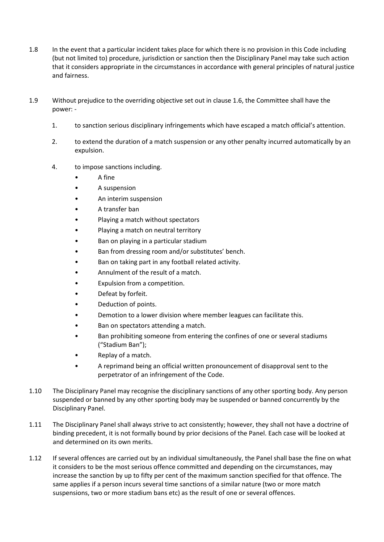- 1.8 In the event that a particular incident takes place for which there is no provision in this Code including (but not limited to) procedure, jurisdiction or sanction then the Disciplinary Panel may take such action that it considers appropriate in the circumstances in accordance with general principles of natural justice and fairness.
- 1.9 Without prejudice to the overriding objective set out in clause 1.6, the Committee shall have the power: -
	- 1. to sanction serious disciplinary infringements which have escaped a match official's attention.
	- 2. to extend the duration of a match suspension or any other penalty incurred automatically by an expulsion.
	- 4. to impose sanctions including.
		- A fine
		- A suspension
		- An interim suspension
		- A transfer ban
		- Playing a match without spectators
		- Playing a match on neutral territory
		- Ban on playing in a particular stadium
		- Ban from dressing room and/or substitutes' bench.
		- Ban on taking part in any football related activity.
		- Annulment of the result of a match.
		- Expulsion from a competition.
		- Defeat by forfeit.
		- Deduction of points.
		- Demotion to a lower division where member leagues can facilitate this.
		- Ban on spectators attending a match.
		- Ban prohibiting someone from entering the confines of one or several stadiums ("Stadium Ban");
		- Replay of a match.
		- A reprimand being an official written pronouncement of disapproval sent to the perpetrator of an infringement of the Code.
- 1.10 The Disciplinary Panel may recognise the disciplinary sanctions of any other sporting body. Any person suspended or banned by any other sporting body may be suspended or banned concurrently by the Disciplinary Panel.
- 1.11 The Disciplinary Panel shall always strive to act consistently; however, they shall not have a doctrine of binding precedent, it is not formally bound by prior decisions of the Panel. Each case will be looked at and determined on its own merits.
- 1.12 If several offences are carried out by an individual simultaneously, the Panel shall base the fine on what it considers to be the most serious offence committed and depending on the circumstances, may increase the sanction by up to fifty per cent of the maximum sanction specified for that offence. The same applies if a person incurs several time sanctions of a similar nature (two or more match suspensions, two or more stadium bans etc) as the result of one or several offences.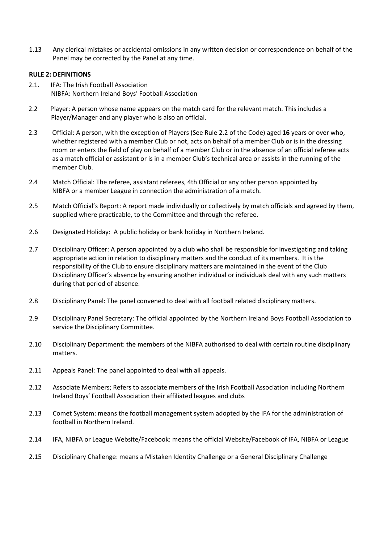1.13 Any clerical mistakes or accidental omissions in any written decision or correspondence on behalf of the Panel may be corrected by the Panel at any time.

#### **RULE 2: DEFINITIONS**

- 2.1. IFA: The Irish Football Association NIBFA: Northern Ireland Boys' Football Association
- 2.2 Player: A person whose name appears on the match card for the relevant match. This includes a Player/Manager and any player who is also an official.
- 2.3 Official: A person, with the exception of Players (See Rule 2.2 of the Code) aged **16** years or over who, whether registered with a member Club or not, acts on behalf of a member Club or is in the dressing room or enters the field of play on behalf of a member Club or in the absence of an official referee acts as a match official or assistant or is in a member Club's technical area or assists in the running of the member Club.
- 2.4 Match Official: The referee, assistant referees, 4th Official or any other person appointed by NIBFA or a member League in connection the administration of a match.
- 2.5 Match Official's Report: A report made individually or collectively by match officials and agreed by them, supplied where practicable, to the Committee and through the referee.
- 2.6 Designated Holiday: A public holiday or bank holiday in Northern Ireland.
- 2.7 Disciplinary Officer: A person appointed by a club who shall be responsible for investigating and taking appropriate action in relation to disciplinary matters and the conduct of its members. It is the responsibility of the Club to ensure disciplinary matters are maintained in the event of the Club Disciplinary Officer's absence by ensuring another individual or individuals deal with any such matters during that period of absence.
- 2.8 Disciplinary Panel: The panel convened to deal with all football related disciplinary matters.
- 2.9 Disciplinary Panel Secretary: The official appointed by the Northern Ireland Boys Football Association to service the Disciplinary Committee.
- 2.10 Disciplinary Department: the members of the NIBFA authorised to deal with certain routine disciplinary matters.
- 2.11 Appeals Panel: The panel appointed to deal with all appeals.
- 2.12 Associate Members; Refers to associate members of the Irish Football Association including Northern Ireland Boys' Football Association their affiliated leagues and clubs
- 2.13 Comet System: means the football management system adopted by the IFA for the administration of football in Northern Ireland.
- 2.14 IFA, NIBFA or League Website/Facebook: means the official Website/Facebook of IFA, NIBFA or League
- 2.15 Disciplinary Challenge: means a Mistaken Identity Challenge or a General Disciplinary Challenge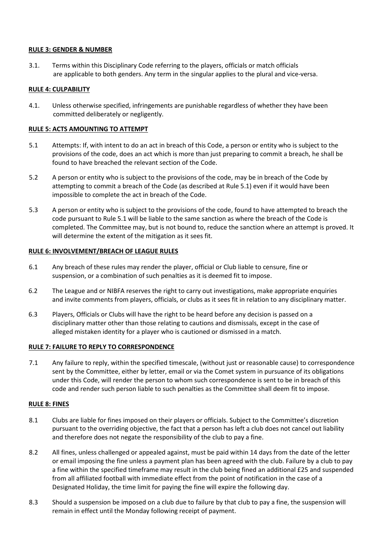#### **RULE 3: GENDER & NUMBER**

3.1. Terms within this Disciplinary Code referring to the players, officials or match officials are applicable to both genders. Any term in the singular applies to the plural and vice-versa.

#### **RULE 4: CULPABILITY**

4.1. Unless otherwise specified, infringements are punishable regardless of whether they have been committed deliberately or negligently.

#### **RULE 5: ACTS AMOUNTING TO ATTEMPT**

- 5.1 Attempts: If, with intent to do an act in breach of this Code, a person or entity who is subject to the provisions of the code, does an act which is more than just preparing to commit a breach, he shall be found to have breached the relevant section of the Code.
- 5.2 A person or entity who is subject to the provisions of the code, may be in breach of the Code by attempting to commit a breach of the Code (as described at Rule 5.1) even if it would have been impossible to complete the act in breach of the Code.
- 5.3 A person or entity who is subject to the provisions of the code, found to have attempted to breach the code pursuant to Rule 5.1 will be liable to the same sanction as where the breach of the Code is completed. The Committee may, but is not bound to, reduce the sanction where an attempt is proved. It will determine the extent of the mitigation as it sees fit.

#### **RULE 6: INVOLVEMENT/BREACH OF LEAGUE RULES**

- 6.1 Any breach of these rules may render the player, official or Club liable to censure, fine or suspension, or a combination of such penalties as it is deemed fit to impose.
- 6.2 The League and or NIBFA reserves the right to carry out investigations, make appropriate enquiries and invite comments from players, officials, or clubs as it sees fit in relation to any disciplinary matter.
- 6.3 Players, Officials or Clubs will have the right to be heard before any decision is passed on a disciplinary matter other than those relating to cautions and dismissals, except in the case of alleged mistaken identity for a player who is cautioned or dismissed in a match.

#### **RULE 7: FAILURE TO REPLY TO CORRESPONDENCE**

7.1 Any failure to reply, within the specified timescale, (without just or reasonable cause) to correspondence sent by the Committee, either by letter, email or via the Comet system in pursuance of its obligations under this Code, will render the person to whom such correspondence is sent to be in breach of this code and render such person liable to such penalties as the Committee shall deem fit to impose.

#### **RULE 8: FINES**

- 8.1 Clubs are liable for fines imposed on their players or officials. Subject to the Committee's discretion pursuant to the overriding objective, the fact that a person has left a club does not cancel out liability and therefore does not negate the responsibility of the club to pay a fine.
- 8.2 All fines, unless challenged or appealed against, must be paid within 14 days from the date of the letter or email imposing the fine unless a payment plan has been agreed with the club. Failure by a club to pay a fine within the specified timeframe may result in the club being fined an additional £25 and suspended from all affiliated football with immediate effect from the point of notification in the case of a Designated Holiday, the time limit for paying the fine will expire the following day.
- 8.3 Should a suspension be imposed on a club due to failure by that club to pay a fine, the suspension will remain in effect until the Monday following receipt of payment.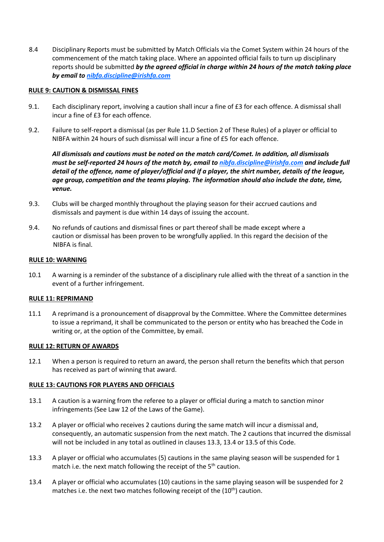8.4 Disciplinary Reports must be submitted by Match Officials via the Comet System within 24 hours of the commencement of the match taking place. Where an appointed official fails to turn up disciplinary reports should be submitted *by the agreed official in charge within 24 hours of the match taking place by email t[o nibfa.discipline@irishfa.com](mailto:nibfa.discipline@irishfa.com)*

#### **RULE 9: CAUTION & DISMISSAL FINES**

- 9.1. Each disciplinary report, involving a caution shall incur a fine of £3 for each offence. A dismissal shall incur a fine of £3 for each offence.
- 9.2. Failure to self-report a dismissal (as per Rule 11.D Section 2 of These Rules) of a player or official to NIBFA within 24 hours of such dismissal will incur a fine of £5 for each offence.

*All dismissals and cautions must be noted on the match card/Comet. In addition, all dismissals must be self-reported 24 hours of the match by, email to [nibfa.discipline@irishfa.com](mailto:nibfa.discipline@irishfa.com) and include full detail of the offence, name of player/official and if a player, the shirt number, details of the league, age group, competition and the teams playing. The information should also include the date, time, venue.* 

- 9.3. Clubs will be charged monthly throughout the playing season for their accrued cautions and dismissals and payment is due within 14 days of issuing the account.
- 9.4. No refunds of cautions and dismissal fines or part thereof shall be made except where a caution or dismissal has been proven to be wrongfully applied. In this regard the decision of the NIBFA is final.

#### **RULE 10: WARNING**

10.1 A warning is a reminder of the substance of a disciplinary rule allied with the threat of a sanction in the event of a further infringement.

#### **RULE 11: REPRIMAND**

11.1 A reprimand is a pronouncement of disapproval by the Committee. Where the Committee determines to issue a reprimand, it shall be communicated to the person or entity who has breached the Code in writing or, at the option of the Committee, by email.

#### **RULE 12: RETURN OF AWARDS**

12.1 When a person is required to return an award, the person shall return the benefits which that person has received as part of winning that award.

#### **RULE 13: CAUTIONS FOR PLAYERS AND OFFICIALS**

- 13.1 A caution is a warning from the referee to a player or official during a match to sanction minor infringements (See Law 12 of the Laws of the Game).
- 13.2 A player or official who receives 2 cautions during the same match will incur a dismissal and, consequently, an automatic suspension from the next match. The 2 cautions that incurred the dismissal will not be included in any total as outlined in clauses 13.3, 13.4 or 13.5 of this Code.
- 13.3 A player or official who accumulates (5) cautions in the same playing season will be suspended for 1 match i.e. the next match following the receipt of the 5<sup>th</sup> caution.
- 13.4 A player or official who accumulates (10) cautions in the same playing season will be suspended for 2 matches i.e. the next two matches following receipt of the  $(10<sup>th</sup>)$  caution.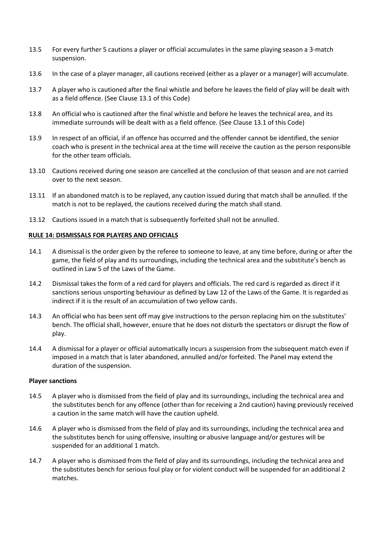- 13.5 For every further 5 cautions a player or official accumulates in the same playing season a 3-match suspension.
- 13.6 In the case of a player manager, all cautions received (either as a player or a manager) will accumulate.
- 13.7 A player who is cautioned after the final whistle and before he leaves the field of play will be dealt with as a field offence. (See Clause 13.1 of this Code)
- 13.8 An official who is cautioned after the final whistle and before he leaves the technical area, and its immediate surrounds will be dealt with as a field offence. (See Clause 13.1 of this Code)
- 13.9 In respect of an official, if an offence has occurred and the offender cannot be identified, the senior coach who is present in the technical area at the time will receive the caution as the person responsible for the other team officials.
- 13.10 Cautions received during one season are cancelled at the conclusion of that season and are not carried over to the next season.
- 13.11 If an abandoned match is to be replayed, any caution issued during that match shall be annulled. If the match is not to be replayed, the cautions received during the match shall stand.
- 13.12 Cautions issued in a match that is subsequently forfeited shall not be annulled.

#### **RULE 14: DISMISSALS FOR PLAYERS AND OFFICIALS**

- 14.1 A dismissal is the order given by the referee to someone to leave, at any time before, during or after the game, the field of play and its surroundings, including the technical area and the substitute's bench as outlined in Law 5 of the Laws of the Game.
- 14.2 Dismissal takes the form of a red card for players and officials. The red card is regarded as direct if it sanctions serious unsporting behaviour as defined by Law 12 of the Laws of the Game. It is regarded as indirect if it is the result of an accumulation of two yellow cards.
- 14.3 An official who has been sent off may give instructions to the person replacing him on the substitutes' bench. The official shall, however, ensure that he does not disturb the spectators or disrupt the flow of play.
- 14.4 A dismissal for a player or official automatically incurs a suspension from the subsequent match even if imposed in a match that is later abandoned, annulled and/or forfeited. The Panel may extend the duration of the suspension.

#### **Player sanctions**

- 14.5 A player who is dismissed from the field of play and its surroundings, including the technical area and the substitutes bench for any offence (other than for receiving a 2nd caution) having previously received a caution in the same match will have the caution upheld.
- 14.6 A player who is dismissed from the field of play and its surroundings, including the technical area and the substitutes bench for using offensive, insulting or abusive language and/or gestures will be suspended for an additional 1 match.
- 14.7 A player who is dismissed from the field of play and its surroundings, including the technical area and the substitutes bench for serious foul play or for violent conduct will be suspended for an additional 2 matches.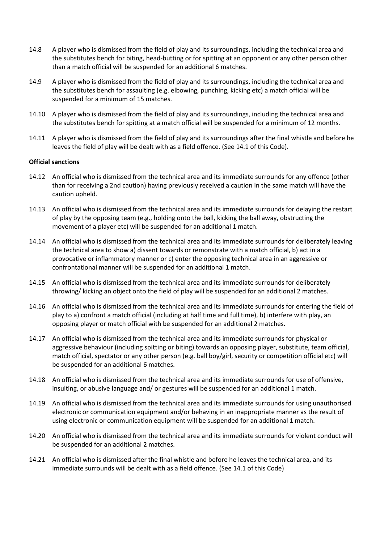- 14.8 A player who is dismissed from the field of play and its surroundings, including the technical area and the substitutes bench for biting, head-butting or for spitting at an opponent or any other person other than a match official will be suspended for an additional 6 matches.
- 14.9 A player who is dismissed from the field of play and its surroundings, including the technical area and the substitutes bench for assaulting (e.g. elbowing, punching, kicking etc) a match official will be suspended for a minimum of 15 matches.
- 14.10 A player who is dismissed from the field of play and its surroundings, including the technical area and the substitutes bench for spitting at a match official will be suspended for a minimum of 12 months.
- 14.11 A player who is dismissed from the field of play and its surroundings after the final whistle and before he leaves the field of play will be dealt with as a field offence. (See 14.1 of this Code).

#### **Official sanctions**

- 14.12 An official who is dismissed from the technical area and its immediate surrounds for any offence (other than for receiving a 2nd caution) having previously received a caution in the same match will have the caution upheld.
- 14.13 An official who is dismissed from the technical area and its immediate surrounds for delaying the restart of play by the opposing team (e.g., holding onto the ball, kicking the ball away, obstructing the movement of a player etc) will be suspended for an additional 1 match.
- 14.14 An official who is dismissed from the technical area and its immediate surrounds for deliberately leaving the technical area to show a) dissent towards or remonstrate with a match official, b) act in a provocative or inflammatory manner or c) enter the opposing technical area in an aggressive or confrontational manner will be suspended for an additional 1 match.
- 14.15 An official who is dismissed from the technical area and its immediate surrounds for deliberately throwing/ kicking an object onto the field of play will be suspended for an additional 2 matches.
- 14.16 An official who is dismissed from the technical area and its immediate surrounds for entering the field of play to a) confront a match official (including at half time and full time), b) interfere with play, an opposing player or match official with be suspended for an additional 2 matches.
- 14.17 An official who is dismissed from the technical area and its immediate surrounds for physical or aggressive behaviour (including spitting or biting) towards an opposing player, substitute, team official, match official, spectator or any other person (e.g. ball boy/girl, security or competition official etc) will be suspended for an additional 6 matches.
- 14.18 An official who is dismissed from the technical area and its immediate surrounds for use of offensive, insulting, or abusive language and/ or gestures will be suspended for an additional 1 match.
- 14.19 An official who is dismissed from the technical area and its immediate surrounds for using unauthorised electronic or communication equipment and/or behaving in an inappropriate manner as the result of using electronic or communication equipment will be suspended for an additional 1 match.
- 14.20 An official who is dismissed from the technical area and its immediate surrounds for violent conduct will be suspended for an additional 2 matches.
- 14.21 An official who is dismissed after the final whistle and before he leaves the technical area, and its immediate surrounds will be dealt with as a field offence. (See 14.1 of this Code)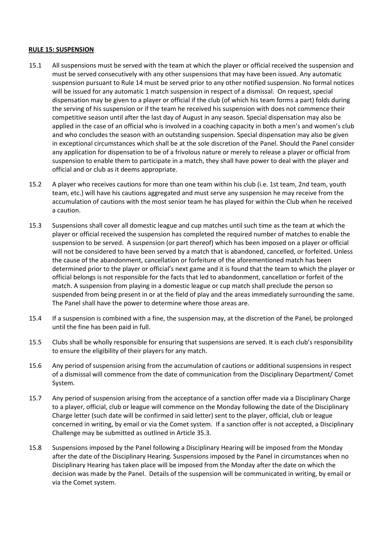#### **RULE 15: SUSPENSION**

- 15.1 All suspensions must be served with the team at which the player or official received the suspension and must be served consecutively with any other suspensions that may have been issued. Any automatic suspension pursuant to Rule 14 must be served prior to any other notified suspension. No formal notices will be issued for any automatic 1 match suspension in respect of a dismissal. On request, special dispensation may be given to a player or official if the club (of which his team forms a part) folds during the serving of his suspension or if the team he received his suspension with does not commence their competitive season until after the last day of August in any season. Special dispensation may also be applied in the case of an official who is involved in a coaching capacity in both a men's and women's club and who concludes the season with an outstanding suspension. Special dispensation may also be given in exceptional circumstances which shall be at the sole discretion of the Panel. Should the Panel consider any application for dispensation to be of a frivolous nature or merely to release a player or official from suspension to enable them to participate in a match, they shall have power to deal with the player and official and or club as it deems appropriate.
- 15.2 A player who receives cautions for more than one team within his club (i.e. 1st team, 2nd team, youth team, etc.) will have his cautions aggregated and must serve any suspension he may receive from the accumulation of cautions with the most senior team he has played for within the Club when he received a caution.
- 15.3 Suspensions shall cover all domestic league and cup matches until such time as the team at which the player or official received the suspension has completed the required number of matches to enable the suspension to be served. A suspension (or part thereof) which has been imposed on a player or official will not be considered to have been served by a match that is abandoned, cancelled, or forfeited. Unless the cause of the abandonment, cancellation or forfeiture of the aforementioned match has been determined prior to the player or official's next game and it is found that the team to which the player or official belongs is not responsible for the facts that led to abandonment, cancellation or forfeit of the match. A suspension from playing in a domestic league or cup match shall preclude the person so suspended from being present in or at the field of play and the areas immediately surrounding the same. The Panel shall have the power to determine where those areas are.
- 15.4 If a suspension is combined with a fine, the suspension may, at the discretion of the Panel, be prolonged until the fine has been paid in full.
- 15.5 Clubs shall be wholly responsible for ensuring that suspensions are served. It is each club's responsibility to ensure the eligibility of their players for any match.
- 15.6 Any period of suspension arising from the accumulation of cautions or additional suspensions in respect of a dismissal will commence from the date of communication from the Disciplinary Department/ Comet System.
- 15.7 Any period of suspension arising from the acceptance of a sanction offer made via a Disciplinary Charge to a player, official, club or league will commence on the Monday following the date of the Disciplinary Charge letter (such date will be confirmed in said letter) sent to the player, official, club or league concerned in writing, by email or via the Comet system. If a sanction offer is not accepted, a Disciplinary Challenge may be submitted as outlined in Article 35.3.
- 15.8 Suspensions imposed by the Panel following a Disciplinary Hearing will be imposed from the Monday after the date of the Disciplinary Hearing. Suspensions imposed by the Panel in circumstances when no Disciplinary Hearing has taken place will be imposed from the Monday after the date on which the decision was made by the Panel. Details of the suspension will be communicated in writing, by email or via the Comet system.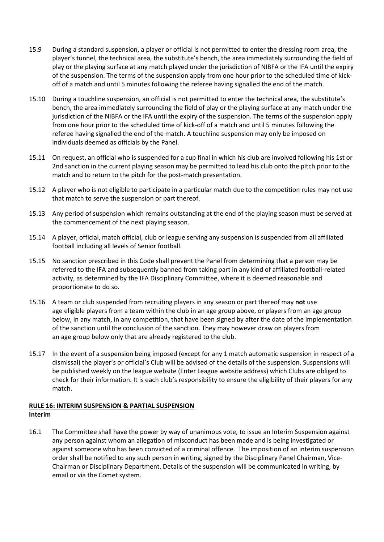- 15.9 During a standard suspension, a player or official is not permitted to enter the dressing room area, the player's tunnel, the technical area, the substitute's bench, the area immediately surrounding the field of play or the playing surface at any match played under the jurisdiction of NIBFA or the IFA until the expiry of the suspension. The terms of the suspension apply from one hour prior to the scheduled time of kickoff of a match and until 5 minutes following the referee having signalled the end of the match.
- 15.10 During a touchline suspension, an official is not permitted to enter the technical area, the substitute's bench, the area immediately surrounding the field of play or the playing surface at any match under the jurisdiction of the NIBFA or the IFA until the expiry of the suspension. The terms of the suspension apply from one hour prior to the scheduled time of kick-off of a match and until 5 minutes following the referee having signalled the end of the match. A touchline suspension may only be imposed on individuals deemed as officials by the Panel.
- 15.11 On request, an official who is suspended for a cup final in which his club are involved following his 1st or 2nd sanction in the current playing season may be permitted to lead his club onto the pitch prior to the match and to return to the pitch for the post-match presentation.
- 15.12 A player who is not eligible to participate in a particular match due to the competition rules may not use that match to serve the suspension or part thereof.
- 15.13 Any period of suspension which remains outstanding at the end of the playing season must be served at the commencement of the next playing season.
- 15.14 A player, official, match official, club or league serving any suspension is suspended from all affiliated football including all levels of Senior football.
- 15.15 No sanction prescribed in this Code shall prevent the Panel from determining that a person may be referred to the IFA and subsequently banned from taking part in any kind of affiliated football-related activity, as determined by the IFA Disciplinary Committee, where it is deemed reasonable and proportionate to do so.
- 15.16 A team or club suspended from recruiting players in any season or part thereof may **not** use age eligible players from a team within the club in an age group above, or players from an age group below, in any match, in any competition, that have been signed by after the date of the implementation of the sanction until the conclusion of the sanction. They may however draw on players from an age group below only that are already registered to the club.
- 15.17 In the event of a suspension being imposed (except for any 1 match automatic suspension in respect of a dismissal) the player's or official's Club will be advised of the details of the suspension. Suspensions will be published weekly on the league website (Enter League website address) which Clubs are obliged to check for their information. It is each club's responsibility to ensure the eligibility of their players for any match.

#### **RULE 16: INTERIM SUSPENSION & PARTIAL SUSPENSION Interim**

16.1 The Committee shall have the power by way of unanimous vote, to issue an Interim Suspension against any person against whom an allegation of misconduct has been made and is being investigated or against someone who has been convicted of a criminal offence. The imposition of an interim suspension order shall be notified to any such person in writing, signed by the Disciplinary Panel Chairman, Vice-Chairman or Disciplinary Department. Details of the suspension will be communicated in writing, by email or via the Comet system.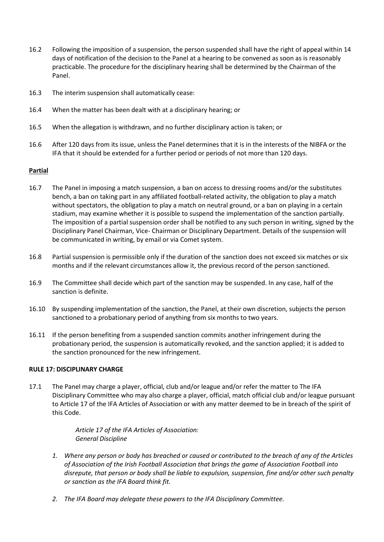- 16.2 Following the imposition of a suspension, the person suspended shall have the right of appeal within 14 days of notification of the decision to the Panel at a hearing to be convened as soon as is reasonably practicable. The procedure for the disciplinary hearing shall be determined by the Chairman of the Panel.
- 16.3 The interim suspension shall automatically cease:
- 16.4 When the matter has been dealt with at a disciplinary hearing; or
- 16.5 When the allegation is withdrawn, and no further disciplinary action is taken; or
- 16.6 After 120 days from its issue, unless the Panel determines that it is in the interests of the NIBFA or the IFA that it should be extended for a further period or periods of not more than 120 days.

#### **Partial**

- 16.7 The Panel in imposing a match suspension, a ban on access to dressing rooms and/or the substitutes bench, a ban on taking part in any affiliated football-related activity, the obligation to play a match without spectators, the obligation to play a match on neutral ground, or a ban on playing in a certain stadium, may examine whether it is possible to suspend the implementation of the sanction partially. The imposition of a partial suspension order shall be notified to any such person in writing, signed by the Disciplinary Panel Chairman, Vice- Chairman or Disciplinary Department. Details of the suspension will be communicated in writing, by email or via Comet system.
- 16.8 Partial suspension is permissible only if the duration of the sanction does not exceed six matches or six months and if the relevant circumstances allow it, the previous record of the person sanctioned.
- 16.9 The Committee shall decide which part of the sanction may be suspended. In any case, half of the sanction is definite.
- 16.10 By suspending implementation of the sanction, the Panel, at their own discretion, subjects the person sanctioned to a probationary period of anything from six months to two years.
- 16.11 If the person benefiting from a suspended sanction commits another infringement during the probationary period, the suspension is automatically revoked, and the sanction applied; it is added to the sanction pronounced for the new infringement.

#### **RULE 17: DISCIPLINARY CHARGE**

17.1 The Panel may charge a player, official, club and/or league and/or refer the matter to The IFA Disciplinary Committee who may also charge a player, official, match official club and/or league pursuant to Article 17 of the IFA Articles of Association or with any matter deemed to be in breach of the spirit of this Code.

> *Article 17 of the IFA Articles of Association: General Discipline*

- *1. Where any person or body has breached or caused or contributed to the breach of any of the Articles of Association of the Irish Football Association that brings the game of Association Football into disrepute, that person or body shall be liable to expulsion, suspension, fine and/or other such penalty or sanction as the IFA Board think fit.*
- *2. The IFA Board may delegate these powers to the IFA Disciplinary Committee.*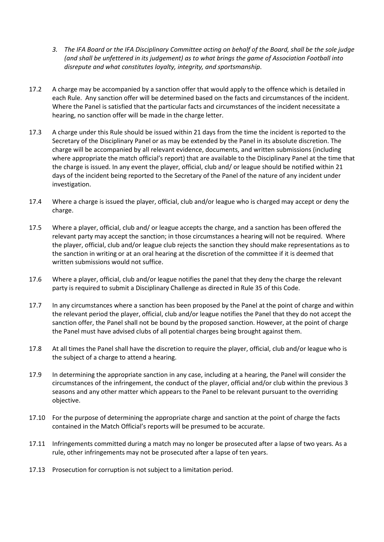- *3. The IFA Board or the IFA Disciplinary Committee acting on behalf of the Board, shall be the sole judge (and shall be unfettered in its judgement) as to what brings the game of Association Football into disrepute and what constitutes loyalty, integrity, and sportsmanship*.
- 17.2 A charge may be accompanied by a sanction offer that would apply to the offence which is detailed in each Rule. Any sanction offer will be determined based on the facts and circumstances of the incident. Where the Panel is satisfied that the particular facts and circumstances of the incident necessitate a hearing, no sanction offer will be made in the charge letter.
- 17.3 A charge under this Rule should be issued within 21 days from the time the incident is reported to the Secretary of the Disciplinary Panel or as may be extended by the Panel in its absolute discretion. The charge will be accompanied by all relevant evidence, documents, and written submissions (including where appropriate the match official's report) that are available to the Disciplinary Panel at the time that the charge is issued. In any event the player, official, club and/ or league should be notified within 21 days of the incident being reported to the Secretary of the Panel of the nature of any incident under investigation.
- 17.4 Where a charge is issued the player, official, club and/or league who is charged may accept or deny the charge.
- 17.5 Where a player, official, club and/ or league accepts the charge, and a sanction has been offered the relevant party may accept the sanction; in those circumstances a hearing will not be required. Where the player, official, club and/or league club rejects the sanction they should make representations as to the sanction in writing or at an oral hearing at the discretion of the committee if it is deemed that written submissions would not suffice.
- 17.6 Where a player, official, club and/or league notifies the panel that they deny the charge the relevant party is required to submit a Disciplinary Challenge as directed in Rule 35 of this Code.
- 17.7 In any circumstances where a sanction has been proposed by the Panel at the point of charge and within the relevant period the player, official, club and/or league notifies the Panel that they do not accept the sanction offer, the Panel shall not be bound by the proposed sanction. However, at the point of charge the Panel must have advised clubs of all potential charges being brought against them.
- 17.8 At all times the Panel shall have the discretion to require the player, official, club and/or league who is the subject of a charge to attend a hearing.
- 17.9 In determining the appropriate sanction in any case, including at a hearing, the Panel will consider the circumstances of the infringement, the conduct of the player, official and/or club within the previous 3 seasons and any other matter which appears to the Panel to be relevant pursuant to the overriding objective.
- 17.10 For the purpose of determining the appropriate charge and sanction at the point of charge the facts contained in the Match Official's reports will be presumed to be accurate.
- 17.11 Infringements committed during a match may no longer be prosecuted after a lapse of two years. As a rule, other infringements may not be prosecuted after a lapse of ten years.
- 17.13 Prosecution for corruption is not subject to a limitation period.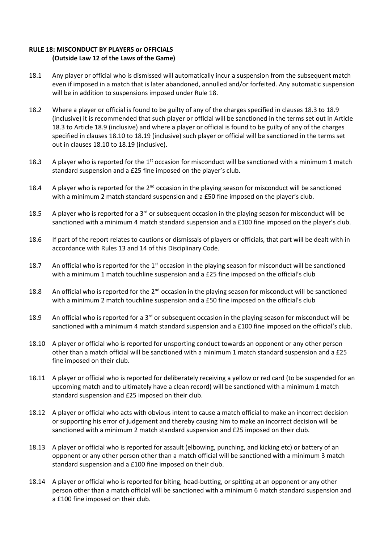#### **RULE 18: MISCONDUCT BY PLAYERS or OFFICIALS (Outside Law 12 of the Laws of the Game)**

- 18.1 Any player or official who is dismissed will automatically incur a suspension from the subsequent match even if imposed in a match that is later abandoned, annulled and/or forfeited. Any automatic suspension will be in addition to suspensions imposed under Rule 18.
- 18.2 Where a player or official is found to be guilty of any of the charges specified in clauses 18.3 to 18.9 (inclusive) it is recommended that such player or official will be sanctioned in the terms set out in Article 18.3 to Article 18.9 (inclusive) and where a player or official is found to be guilty of any of the charges specified in clauses 18.10 to 18.19 (inclusive) such player or official will be sanctioned in the terms set out in clauses 18.10 to 18.19 (inclusive).
- 18.3 A player who is reported for the 1<sup>st</sup> occasion for misconduct will be sanctioned with a minimum 1 match standard suspension and a £25 fine imposed on the player's club.
- 18.4 A player who is reported for the  $2^{nd}$  occasion in the playing season for misconduct will be sanctioned with a minimum 2 match standard suspension and a £50 fine imposed on the player's club.
- 18.5 A player who is reported for a 3<sup>rd</sup> or subsequent occasion in the playing season for misconduct will be sanctioned with a minimum 4 match standard suspension and a £100 fine imposed on the player's club.
- 18.6 If part of the report relates to cautions or dismissals of players or officials, that part will be dealt with in accordance with Rules 13 and 14 of this Disciplinary Code.
- 18.7 An official who is reported for the  $1<sup>st</sup>$  occasion in the playing season for misconduct will be sanctioned with a minimum 1 match touchline suspension and a £25 fine imposed on the official's club
- 18.8 An official who is reported for the 2<sup>nd</sup> occasion in the playing season for misconduct will be sanctioned with a minimum 2 match touchline suspension and a £50 fine imposed on the official's club
- 18.9 An official who is reported for a  $3<sup>rd</sup>$  or subsequent occasion in the playing season for misconduct will be sanctioned with a minimum 4 match standard suspension and a £100 fine imposed on the official's club.
- 18.10 A player or official who is reported for unsporting conduct towards an opponent or any other person other than a match official will be sanctioned with a minimum 1 match standard suspension and a £25 fine imposed on their club.
- 18.11 A player or official who is reported for deliberately receiving a yellow or red card (to be suspended for an upcoming match and to ultimately have a clean record) will be sanctioned with a minimum 1 match standard suspension and £25 imposed on their club.
- 18.12 A player or official who acts with obvious intent to cause a match official to make an incorrect decision or supporting his error of judgement and thereby causing him to make an incorrect decision will be sanctioned with a minimum 2 match standard suspension and £25 imposed on their club.
- 18.13 A player or official who is reported for assault (elbowing, punching, and kicking etc) or battery of an opponent or any other person other than a match official will be sanctioned with a minimum 3 match standard suspension and a £100 fine imposed on their club.
- 18.14 A player or official who is reported for biting, head-butting, or spitting at an opponent or any other person other than a match official will be sanctioned with a minimum 6 match standard suspension and a £100 fine imposed on their club.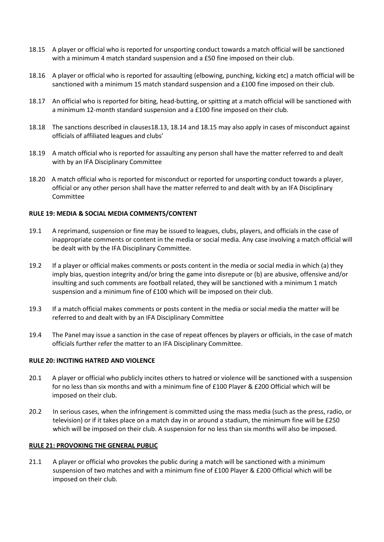- 18.15 A player or official who is reported for unsporting conduct towards a match official will be sanctioned with a minimum 4 match standard suspension and a £50 fine imposed on their club.
- 18.16 A player or official who is reported for assaulting (elbowing, punching, kicking etc) a match official will be sanctioned with a minimum 15 match standard suspension and a £100 fine imposed on their club.
- 18.17 An official who is reported for biting, head-butting, or spitting at a match official will be sanctioned with a minimum 12-month standard suspension and a £100 fine imposed on their club.
- 18.18 The sanctions described in clauses18.13, 18.14 and 18.15 may also apply in cases of misconduct against officials of affiliated leagues and clubs'
- 18.19 A match official who is reported for assaulting any person shall have the matter referred to and dealt with by an IFA Disciplinary Committee
- 18.20 A match official who is reported for misconduct or reported for unsporting conduct towards a player, official or any other person shall have the matter referred to and dealt with by an IFA Disciplinary Committee

#### **RULE 19: MEDIA & SOCIAL MEDIA COMMENTS/CONTENT**

- 19.1 A reprimand, suspension or fine may be issued to leagues, clubs, players, and officials in the case of inappropriate comments or content in the media or social media. Any case involving a match official will be dealt with by the IFA Disciplinary Committee.
- 19.2 If a player or official makes comments or posts content in the media or social media in which (a) they imply bias, question integrity and/or bring the game into disrepute or (b) are abusive, offensive and/or insulting and such comments are football related, they will be sanctioned with a minimum 1 match suspension and a minimum fine of £100 which will be imposed on their club.
- 19.3 If a match official makes comments or posts content in the media or social media the matter will be referred to and dealt with by an IFA Disciplinary Committee
- 19.4 The Panel may issue a sanction in the case of repeat offences by players or officials, in the case of match officials further refer the matter to an IFA Disciplinary Committee.

#### **RULE 20: INCITING HATRED AND VIOLENCE**

- 20.1 A player or official who publicly incites others to hatred or violence will be sanctioned with a suspension for no less than six months and with a minimum fine of £100 Player & £200 Official which will be imposed on their club.
- 20.2 In serious cases, when the infringement is committed using the mass media (such as the press, radio, or television) or if it takes place on a match day in or around a stadium, the minimum fine will be £250 which will be imposed on their club. A suspension for no less than six months will also be imposed.

#### **RULE 21: PROVOKING THE GENERAL PUBLIC**

21.1 A player or official who provokes the public during a match will be sanctioned with a minimum suspension of two matches and with a minimum fine of £100 Player & £200 Official which will be imposed on their club.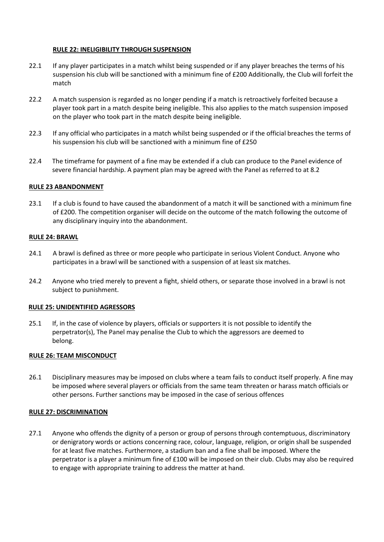#### **RULE 22: INELIGIBILITY THROUGH SUSPENSION**

- 22.1 If any player participates in a match whilst being suspended or if any player breaches the terms of his suspension his club will be sanctioned with a minimum fine of £200 Additionally, the Club will forfeit the match
- 22.2 A match suspension is regarded as no longer pending if a match is retroactively forfeited because a player took part in a match despite being ineligible. This also applies to the match suspension imposed on the player who took part in the match despite being ineligible.
- 22.3 If any official who participates in a match whilst being suspended or if the official breaches the terms of his suspension his club will be sanctioned with a minimum fine of £250
- 22.4 The timeframe for payment of a fine may be extended if a club can produce to the Panel evidence of severe financial hardship. A payment plan may be agreed with the Panel as referred to at 8.2

#### **RULE 23 ABANDONMENT**

23.1 If a club is found to have caused the abandonment of a match it will be sanctioned with a minimum fine of £200. The competition organiser will decide on the outcome of the match following the outcome of any disciplinary inquiry into the abandonment.

#### **RULE 24: BRAWL**

- 24.1 A brawl is defined as three or more people who participate in serious Violent Conduct. Anyone who participates in a brawl will be sanctioned with a suspension of at least six matches.
- 24.2 Anyone who tried merely to prevent a fight, shield others, or separate those involved in a brawl is not subject to punishment.

#### **RULE 25: UNIDENTIFIED AGRESSORS**

25.1 If, in the case of violence by players, officials or supporters it is not possible to identify the perpetrator(s), The Panel may penalise the Club to which the aggressors are deemed to belong.

#### **RULE 26: TEAM MISCONDUCT**

26.1 Disciplinary measures may be imposed on clubs where a team fails to conduct itself properly. A fine may be imposed where several players or officials from the same team threaten or harass match officials or other persons. Further sanctions may be imposed in the case of serious offences

#### **RULE 27: DISCRIMINATION**

27.1 Anyone who offends the dignity of a person or group of persons through contemptuous, discriminatory or denigratory words or actions concerning race, colour, language, religion, or origin shall be suspended for at least five matches. Furthermore, a stadium ban and a fine shall be imposed. Where the perpetrator is a player a minimum fine of £100 will be imposed on their club. Clubs may also be required to engage with appropriate training to address the matter at hand.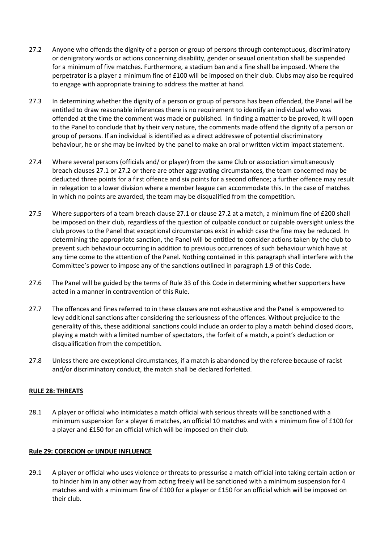- 27.2 Anyone who offends the dignity of a person or group of persons through contemptuous, discriminatory or denigratory words or actions concerning disability, gender or sexual orientation shall be suspended for a minimum of five matches. Furthermore, a stadium ban and a fine shall be imposed. Where the perpetrator is a player a minimum fine of £100 will be imposed on their club. Clubs may also be required to engage with appropriate training to address the matter at hand.
- 27.3 In determining whether the dignity of a person or group of persons has been offended, the Panel will be entitled to draw reasonable inferences there is no requirement to identify an individual who was offended at the time the comment was made or published. In finding a matter to be proved, it will open to the Panel to conclude that by their very nature, the comments made offend the dignity of a person or group of persons. If an individual is identified as a direct addressee of potential discriminatory behaviour, he or she may be invited by the panel to make an oral or written victim impact statement.
- 27.4 Where several persons (officials and/ or player) from the same Club or association simultaneously breach clauses 27.1 or 27.2 or there are other aggravating circumstances, the team concerned may be deducted three points for a first offence and six points for a second offence; a further offence may result in relegation to a lower division where a member league can accommodate this. In the case of matches in which no points are awarded, the team may be disqualified from the competition.
- 27.5 Where supporters of a team breach clause 27.1 or clause 27.2 at a match, a minimum fine of £200 shall be imposed on their club, regardless of the question of culpable conduct or culpable oversight unless the club proves to the Panel that exceptional circumstances exist in which case the fine may be reduced. In determining the appropriate sanction, the Panel will be entitled to consider actions taken by the club to prevent such behaviour occurring in addition to previous occurrences of such behaviour which have at any time come to the attention of the Panel. Nothing contained in this paragraph shall interfere with the Committee's power to impose any of the sanctions outlined in paragraph 1.9 of this Code.
- 27.6 The Panel will be guided by the terms of Rule 33 of this Code in determining whether supporters have acted in a manner in contravention of this Rule.
- 27.7 The offences and fines referred to in these clauses are not exhaustive and the Panel is empowered to levy additional sanctions after considering the seriousness of the offences. Without prejudice to the generality of this, these additional sanctions could include an order to play a match behind closed doors, playing a match with a limited number of spectators, the forfeit of a match, a point's deduction or disqualification from the competition.
- 27.8 Unless there are exceptional circumstances, if a match is abandoned by the referee because of racist and/or discriminatory conduct, the match shall be declared forfeited.

#### **RULE 28: THREATS**

28.1 A player or official who intimidates a match official with serious threats will be sanctioned with a minimum suspension for a player 6 matches, an official 10 matches and with a minimum fine of £100 for a player and £150 for an official which will be imposed on their club.

#### **Rule 29: COERCION or UNDUE INFLUENCE**

29.1 A player or official who uses violence or threats to pressurise a match official into taking certain action or to hinder him in any other way from acting freely will be sanctioned with a minimum suspension for 4 matches and with a minimum fine of £100 for a player or £150 for an official which will be imposed on their club.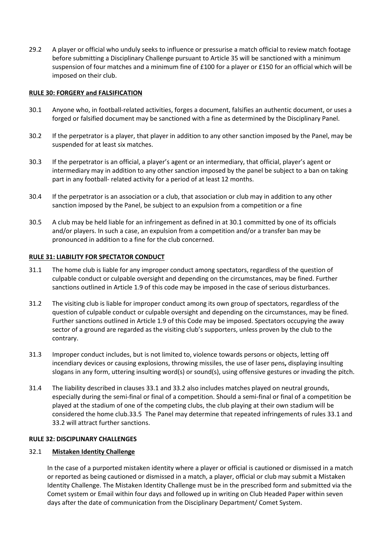29.2 A player or official who unduly seeks to influence or pressurise a match official to review match footage before submitting a Disciplinary Challenge pursuant to Article 35 will be sanctioned with a minimum suspension of four matches and a minimum fine of £100 for a player or £150 for an official which will be imposed on their club.

#### **RULE 30: FORGERY and FALSIFICATION**

- 30.1 Anyone who, in football-related activities, forges a document, falsifies an authentic document, or uses a forged or falsified document may be sanctioned with a fine as determined by the Disciplinary Panel.
- 30.2 If the perpetrator is a player, that player in addition to any other sanction imposed by the Panel, may be suspended for at least six matches.
- 30.3 If the perpetrator is an official, a player's agent or an intermediary, that official, player's agent or intermediary may in addition to any other sanction imposed by the panel be subject to a ban on taking part in any football- related activity for a period of at least 12 months.
- 30.4 If the perpetrator is an association or a club, that association or club may in addition to any other sanction imposed by the Panel, be subject to an expulsion from a competition or a fine
- 30.5 A club may be held liable for an infringement as defined in at 30.1 committed by one of its officials and/or players. In such a case, an expulsion from a competition and/or a transfer ban may be pronounced in addition to a fine for the club concerned.

#### **RULE 31: LIABILITY FOR SPECTATOR CONDUCT**

- 31.1 The home club is liable for any improper conduct among spectators, regardless of the question of culpable conduct or culpable oversight and depending on the circumstances, may be fined. Further sanctions outlined in Article 1.9 of this code may be imposed in the case of serious disturbances.
- 31.2 The visiting club is liable for improper conduct among its own group of spectators, regardless of the question of culpable conduct or culpable oversight and depending on the circumstances, may be fined. Further sanctions outlined in Article 1.9 of this Code may be imposed. Spectators occupying the away sector of a ground are regarded as the visiting club's supporters, unless proven by the club to the contrary.
- 31.3 Improper conduct includes, but is not limited to, violence towards persons or objects, letting off incendiary devices or causing explosions, throwing missiles, the use of laser pens**,** displaying insulting slogans in any form, uttering insulting word(s) or sound(s), using offensive gestures or invading the pitch.
- 31.4 The liability described in clauses 33.1 and 33.2 also includes matches played on neutral grounds, especially during the semi-final or final of a competition. Should a semi-final or final of a competition be played at the stadium of one of the competing clubs, the club playing at their own stadium will be considered the home club.33.5 The Panel may determine that repeated infringements of rules 33.1 and 33.2 will attract further sanctions.

#### **RULE 32: DISCIPLINARY CHALLENGES**

#### 32.1 **Mistaken Identity Challenge**

In the case of a purported mistaken identity where a player or official is cautioned or dismissed in a match or reported as being cautioned or dismissed in a match, a player, official or club may submit a Mistaken Identity Challenge. The Mistaken Identity Challenge must be in the prescribed form and submitted via the Comet system or Email within four days and followed up in writing on Club Headed Paper within seven days after the date of communication from the Disciplinary Department/ Comet System.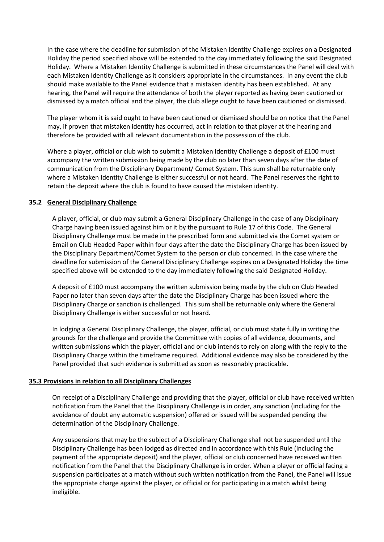In the case where the deadline for submission of the Mistaken Identity Challenge expires on a Designated Holiday the period specified above will be extended to the day immediately following the said Designated Holiday. Where a Mistaken Identity Challenge is submitted in these circumstances the Panel will deal with each Mistaken Identity Challenge as it considers appropriate in the circumstances. In any event the club should make available to the Panel evidence that a mistaken identity has been established. At any hearing, the Panel will require the attendance of both the player reported as having been cautioned or dismissed by a match official and the player, the club allege ought to have been cautioned or dismissed.

The player whom it is said ought to have been cautioned or dismissed should be on notice that the Panel may, if proven that mistaken identity has occurred, act in relation to that player at the hearing and therefore be provided with all relevant documentation in the possession of the club.

Where a player, official or club wish to submit a Mistaken Identity Challenge a deposit of £100 must accompany the written submission being made by the club no later than seven days after the date of communication from the Disciplinary Department/ Comet System. This sum shall be returnable only where a Mistaken Identity Challenge is either successful or not heard. The Panel reserves the right to retain the deposit where the club is found to have caused the mistaken identity.

#### **35.2 General Disciplinary Challenge**

A player, official, or club may submit a General Disciplinary Challenge in the case of any Disciplinary Charge having been issued against him or it by the pursuant to Rule 17 of this Code. The General Disciplinary Challenge must be made in the prescribed form and submitted via the Comet system or Email on Club Headed Paper within four days after the date the Disciplinary Charge has been issued by the Disciplinary Department/Comet System to the person or club concerned. In the case where the deadline for submission of the General Disciplinary Challenge expires on a Designated Holiday the time specified above will be extended to the day immediately following the said Designated Holiday.

A deposit of £100 must accompany the written submission being made by the club on Club Headed Paper no later than seven days after the date the Disciplinary Charge has been issued where the Disciplinary Charge or sanction is challenged. This sum shall be returnable only where the General Disciplinary Challenge is either successful or not heard.

In lodging a General Disciplinary Challenge, the player, official, or club must state fully in writing the grounds for the challenge and provide the Committee with copies of all evidence, documents, and written submissions which the player, official and or club intends to rely on along with the reply to the Disciplinary Charge within the timeframe required. Additional evidence may also be considered by the Panel provided that such evidence is submitted as soon as reasonably practicable.

#### **35.3 Provisions in relation to all Disciplinary Challenges**

On receipt of a Disciplinary Challenge and providing that the player, official or club have received written notification from the Panel that the Disciplinary Challenge is in order, any sanction (including for the avoidance of doubt any automatic suspension) offered or issued will be suspended pending the determination of the Disciplinary Challenge.

Any suspensions that may be the subject of a Disciplinary Challenge shall not be suspended until the Disciplinary Challenge has been lodged as directed and in accordance with this Rule (including the payment of the appropriate deposit) and the player, official or club concerned have received written notification from the Panel that the Disciplinary Challenge is in order. When a player or official facing a suspension participates at a match without such written notification from the Panel, the Panel will issue the appropriate charge against the player, or official or for participating in a match whilst being ineligible.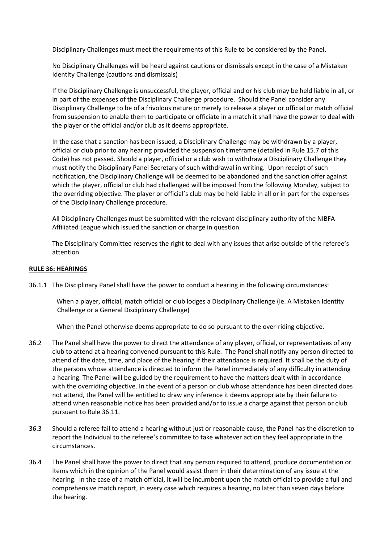Disciplinary Challenges must meet the requirements of this Rule to be considered by the Panel.

No Disciplinary Challenges will be heard against cautions or dismissals except in the case of a Mistaken Identity Challenge (cautions and dismissals)

If the Disciplinary Challenge is unsuccessful, the player, official and or his club may be held liable in all, or in part of the expenses of the Disciplinary Challenge procedure. Should the Panel consider any Disciplinary Challenge to be of a frivolous nature or merely to release a player or official or match official from suspension to enable them to participate or officiate in a match it shall have the power to deal with the player or the official and/or club as it deems appropriate.

In the case that a sanction has been issued, a Disciplinary Challenge may be withdrawn by a player, official or club prior to any hearing provided the suspension timeframe (detailed in Rule 15.7 of this Code) has not passed. Should a player, official or a club wish to withdraw a Disciplinary Challenge they must notify the Disciplinary Panel Secretary of such withdrawal in writing. Upon receipt of such notification, the Disciplinary Challenge will be deemed to be abandoned and the sanction offer against which the player, official or club had challenged will be imposed from the following Monday, subject to the overriding objective. The player or official's club may be held liable in all or in part for the expenses of the Disciplinary Challenge procedure.

All Disciplinary Challenges must be submitted with the relevant disciplinary authority of the NIBFA Affiliated League which issued the sanction or charge in question.

The Disciplinary Committee reserves the right to deal with any issues that arise outside of the referee's attention.

#### **RULE 36: HEARINGS**

36.1.1 The Disciplinary Panel shall have the power to conduct a hearing in the following circumstances:

When a player, official, match official or club lodges a Disciplinary Challenge (ie. A Mistaken Identity Challenge or a General Disciplinary Challenge)

When the Panel otherwise deems appropriate to do so pursuant to the over-riding objective.

- 36.2 The Panel shall have the power to direct the attendance of any player, official, or representatives of any club to attend at a hearing convened pursuant to this Rule. The Panel shall notify any person directed to attend of the date, time, and place of the hearing if their attendance is required. It shall be the duty of the persons whose attendance is directed to inform the Panel immediately of any difficulty in attending a hearing. The Panel will be guided by the requirement to have the matters dealt with in accordance with the overriding objective. In the event of a person or club whose attendance has been directed does not attend, the Panel will be entitled to draw any inference it deems appropriate by their failure to attend when reasonable notice has been provided and/or to issue a charge against that person or club pursuant to Rule 36.11.
- 36.3 Should a referee fail to attend a hearing without just or reasonable cause, the Panel has the discretion to report the Individual to the referee's committee to take whatever action they feel appropriate in the circumstances.
- 36.4 The Panel shall have the power to direct that any person required to attend, produce documentation or items which in the opinion of the Panel would assist them in their determination of any issue at the hearing. In the case of a match official, it will be incumbent upon the match official to provide a full and comprehensive match report, in every case which requires a hearing, no later than seven days before the hearing.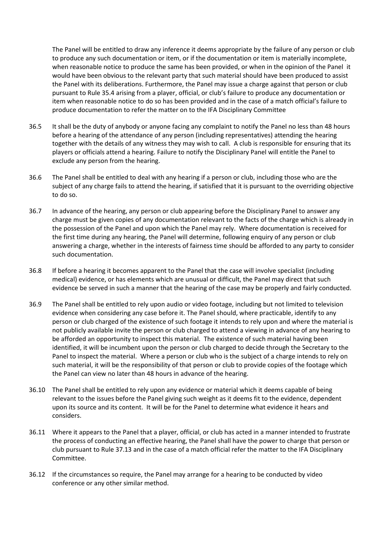The Panel will be entitled to draw any inference it deems appropriate by the failure of any person or club to produce any such documentation or item, or if the documentation or item is materially incomplete, when reasonable notice to produce the same has been provided, or when in the opinion of the Panel it would have been obvious to the relevant party that such material should have been produced to assist the Panel with its deliberations. Furthermore, the Panel may issue a charge against that person or club pursuant to Rule 35.4 arising from a player, official, or club's failure to produce any documentation or item when reasonable notice to do so has been provided and in the case of a match official's failure to produce documentation to refer the matter on to the IFA Disciplinary Committee

- 36.5 It shall be the duty of anybody or anyone facing any complaint to notify the Panel no less than 48 hours before a hearing of the attendance of any person (including representatives) attending the hearing together with the details of any witness they may wish to call. A club is responsible for ensuring that its players or officials attend a hearing. Failure to notify the Disciplinary Panel will entitle the Panel to exclude any person from the hearing.
- 36.6 The Panel shall be entitled to deal with any hearing if a person or club, including those who are the subject of any charge fails to attend the hearing, if satisfied that it is pursuant to the overriding objective to do so.
- 36.7 In advance of the hearing, any person or club appearing before the Disciplinary Panel to answer any charge must be given copies of any documentation relevant to the facts of the charge which is already in the possession of the Panel and upon which the Panel may rely. Where documentation is received for the first time during any hearing, the Panel will determine, following enquiry of any person or club answering a charge, whether in the interests of fairness time should be afforded to any party to consider such documentation.
- 36.8 If before a hearing it becomes apparent to the Panel that the case will involve specialist (including medical) evidence, or has elements which are unusual or difficult, the Panel may direct that such evidence be served in such a manner that the hearing of the case may be properly and fairly conducted.
- 36.9 The Panel shall be entitled to rely upon audio or video footage, including but not limited to television evidence when considering any case before it. The Panel should, where practicable, identify to any person or club charged of the existence of such footage it intends to rely upon and where the material is not publicly available invite the person or club charged to attend a viewing in advance of any hearing to be afforded an opportunity to inspect this material. The existence of such material having been identified, it will be incumbent upon the person or club charged to decide through the Secretary to the Panel to inspect the material. Where a person or club who is the subject of a charge intends to rely on such material, it will be the responsibility of that person or club to provide copies of the footage which the Panel can view no later than 48 hours in advance of the hearing.
- 36.10 The Panel shall be entitled to rely upon any evidence or material which it deems capable of being relevant to the issues before the Panel giving such weight as it deems fit to the evidence, dependent upon its source and its content. It will be for the Panel to determine what evidence it hears and considers.
- 36.11 Where it appears to the Panel that a player, official, or club has acted in a manner intended to frustrate the process of conducting an effective hearing, the Panel shall have the power to charge that person or club pursuant to Rule 37.13 and in the case of a match official refer the matter to the IFA Disciplinary Committee.
- 36.12 If the circumstances so require, the Panel may arrange for a hearing to be conducted by video conference or any other similar method.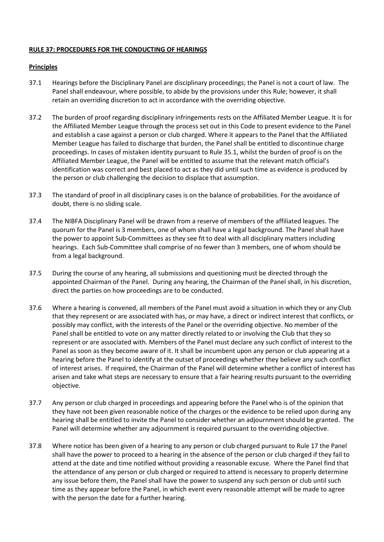#### **RULE 37: PROCEDURES FOR THE CONDUCTING OF HEARINGS**

#### **Principles**

- 37.1 Hearings before the Disciplinary Panel are disciplinary proceedings; the Panel is not a court of law. The Panel shall endeavour, where possible, to abide by the provisions under this Rule; however, it shall retain an overriding discretion to act in accordance with the overriding objective.
- 37.2 The burden of proof regarding disciplinary infringements rests on the Affiliated Member League. It is for the Affiliated Member League through the process set out in this Code to present evidence to the Panel and establish a case against a person or club charged. Where it appears to the Panel that the Affiliated Member League has failed to discharge that burden, the Panel shall be entitled to discontinue charge proceedings. In cases of mistaken identity pursuant to Rule 35.1, whilst the burden of proof is on the Affiliated Member League, the Panel will be entitled to assume that the relevant match official's identification was correct and best placed to act as they did until such time as evidence is produced by the person or club challenging the decision to displace that assumption.
- 37.3 The standard of proof in all disciplinary cases is on the balance of probabilities. For the avoidance of doubt, there is no sliding scale.
- 37.4 The NIBFA Disciplinary Panel will be drawn from a reserve of members of the affiliated leagues. The quorum for the Panel is 3 members, one of whom shall have a legal background. The Panel shall have the power to appoint Sub-Committees as they see fit to deal with all disciplinary matters including hearings. Each Sub-Committee shall comprise of no fewer than 3 members, one of whom should be from a legal background.
- 37.5 During the course of any hearing, all submissions and questioning must be directed through the appointed Chairman of the Panel. During any hearing, the Chairman of the Panel shall, in his discretion, direct the parties on how proceedings are to be conducted.
- 37.6 Where a hearing is convened, all members of the Panel must avoid a situation in which they or any Club that they represent or are associated with has, or may have, a direct or indirect interest that conflicts, or possibly may conflict, with the interests of the Panel or the overriding objective. No member of the Panel shall be entitled to vote on any matter directly related to or involving the Club that they so represent or are associated with. Members of the Panel must declare any such conflict of interest to the Panel as soon as they become aware of it. It shall be incumbent upon any person or club appearing at a hearing before the Panel to identify at the outset of proceedings whether they believe any such conflict of interest arises. If required, the Chairman of the Panel will determine whether a conflict of interest has arisen and take what steps are necessary to ensure that a fair hearing results pursuant to the overriding objective.
- 37.7 Any person or club charged in proceedings and appearing before the Panel who is of the opinion that they have not been given reasonable notice of the charges or the evidence to be relied upon during any hearing shall be entitled to invite the Panel to consider whether an adjournment should be granted. The Panel will determine whether any adjournment is required pursuant to the overriding objective.
- 37.8 Where notice has been given of a hearing to any person or club charged pursuant to Rule 17 the Panel shall have the power to proceed to a hearing in the absence of the person or club charged if they fail to attend at the date and time notified without providing a reasonable excuse. Where the Panel find that the attendance of any person or club charged or required to attend is necessary to properly determine any issue before them, the Panel shall have the power to suspend any such person or club until such time as they appear before the Panel, in which event every reasonable attempt will be made to agree with the person the date for a further hearing.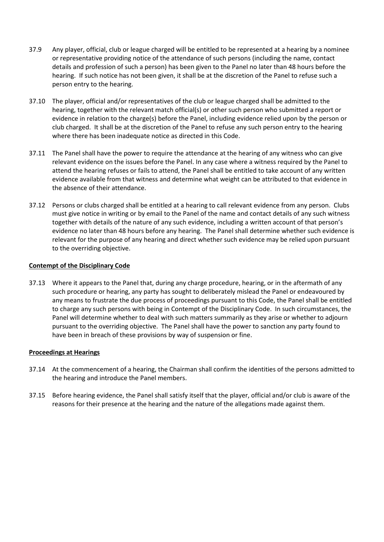- 37.9 Any player, official, club or league charged will be entitled to be represented at a hearing by a nominee or representative providing notice of the attendance of such persons (including the name, contact details and profession of such a person) has been given to the Panel no later than 48 hours before the hearing. If such notice has not been given, it shall be at the discretion of the Panel to refuse such a person entry to the hearing.
- 37.10 The player, official and/or representatives of the club or league charged shall be admitted to the hearing, together with the relevant match official(s) or other such person who submitted a report or evidence in relation to the charge(s) before the Panel, including evidence relied upon by the person or club charged. It shall be at the discretion of the Panel to refuse any such person entry to the hearing where there has been inadequate notice as directed in this Code.
- 37.11 The Panel shall have the power to require the attendance at the hearing of any witness who can give relevant evidence on the issues before the Panel. In any case where a witness required by the Panel to attend the hearing refuses or fails to attend, the Panel shall be entitled to take account of any written evidence available from that witness and determine what weight can be attributed to that evidence in the absence of their attendance.
- 37.12 Persons or clubs charged shall be entitled at a hearing to call relevant evidence from any person. Clubs must give notice in writing or by email to the Panel of the name and contact details of any such witness together with details of the nature of any such evidence, including a written account of that person's evidence no later than 48 hours before any hearing. The Panel shall determine whether such evidence is relevant for the purpose of any hearing and direct whether such evidence may be relied upon pursuant to the overriding objective.

#### **Contempt of the Disciplinary Code**

37.13 Where it appears to the Panel that, during any charge procedure, hearing, or in the aftermath of any such procedure or hearing, any party has sought to deliberately mislead the Panel or endeavoured by any means to frustrate the due process of proceedings pursuant to this Code, the Panel shall be entitled to charge any such persons with being in Contempt of the Disciplinary Code. In such circumstances, the Panel will determine whether to deal with such matters summarily as they arise or whether to adjourn pursuant to the overriding objective. The Panel shall have the power to sanction any party found to have been in breach of these provisions by way of suspension or fine.

#### **Proceedings at Hearings**

- 37.14 At the commencement of a hearing, the Chairman shall confirm the identities of the persons admitted to the hearing and introduce the Panel members.
- 37.15 Before hearing evidence, the Panel shall satisfy itself that the player, official and/or club is aware of the reasons for their presence at the hearing and the nature of the allegations made against them.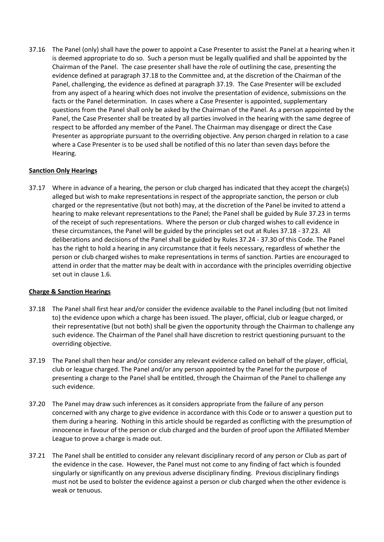37.16 The Panel (only) shall have the power to appoint a Case Presenter to assist the Panel at a hearing when it is deemed appropriate to do so. Such a person must be legally qualified and shall be appointed by the Chairman of the Panel. The case presenter shall have the role of outlining the case, presenting the evidence defined at paragraph 37.18 to the Committee and, at the discretion of the Chairman of the Panel, challenging, the evidence as defined at paragraph 37.19. The Case Presenter will be excluded from any aspect of a hearing which does not involve the presentation of evidence, submissions on the facts or the Panel determination. In cases where a Case Presenter is appointed, supplementary questions from the Panel shall only be asked by the Chairman of the Panel. As a person appointed by the Panel, the Case Presenter shall be treated by all parties involved in the hearing with the same degree of respect to be afforded any member of the Panel. The Chairman may disengage or direct the Case Presenter as appropriate pursuant to the overriding objective. Any person charged in relation to a case where a Case Presenter is to be used shall be notified of this no later than seven days before the Hearing.

#### **Sanction Only Hearings**

37.17 Where in advance of a hearing, the person or club charged has indicated that they accept the charge(s) alleged but wish to make representations in respect of the appropriate sanction, the person or club charged or the representative (but not both) may, at the discretion of the Panel be invited to attend a hearing to make relevant representations to the Panel; the Panel shall be guided by Rule 37.23 in terms of the receipt of such representations. Where the person or club charged wishes to call evidence in these circumstances, the Panel will be guided by the principles set out at Rules 37.18 - 37.23. All deliberations and decisions of the Panel shall be guided by Rules 37.24 - 37.30 of this Code. The Panel has the right to hold a hearing in any circumstance that it feels necessary, regardless of whether the person or club charged wishes to make representations in terms of sanction. Parties are encouraged to attend in order that the matter may be dealt with in accordance with the principles overriding objective set out in clause 1.6.

#### **Charge & Sanction Hearings**

- 37.18 The Panel shall first hear and/or consider the evidence available to the Panel including (but not limited to) the evidence upon which a charge has been issued. The player, official, club or league charged, or their representative (but not both) shall be given the opportunity through the Chairman to challenge any such evidence. The Chairman of the Panel shall have discretion to restrict questioning pursuant to the overriding objective.
- 37.19 The Panel shall then hear and/or consider any relevant evidence called on behalf of the player, official, club or league charged. The Panel and/or any person appointed by the Panel for the purpose of presenting a charge to the Panel shall be entitled, through the Chairman of the Panel to challenge any such evidence.
- 37.20 The Panel may draw such inferences as it considers appropriate from the failure of any person concerned with any charge to give evidence in accordance with this Code or to answer a question put to them during a hearing. Nothing in this article should be regarded as conflicting with the presumption of innocence in favour of the person or club charged and the burden of proof upon the Affiliated Member League to prove a charge is made out.
- 37.21 The Panel shall be entitled to consider any relevant disciplinary record of any person or Club as part of the evidence in the case. However, the Panel must not come to any finding of fact which is founded singularly or significantly on any previous adverse disciplinary finding. Previous disciplinary findings must not be used to bolster the evidence against a person or club charged when the other evidence is weak or tenuous.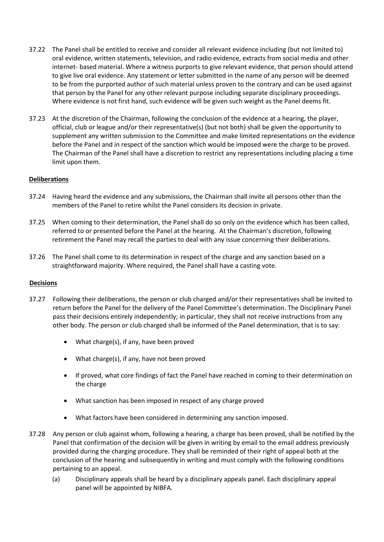- 37.22 The Panel shall be entitled to receive and consider all relevant evidence including (but not limited to) oral evidence, written statements, television, and radio evidence, extracts from social media and other internet- based material. Where a witness purports to give relevant evidence, that person should attend to give live oral evidence. Any statement or letter submitted in the name of any person will be deemed to be from the purported author of such material unless proven to the contrary and can be used against that person by the Panel for any other relevant purpose including separate disciplinary proceedings. Where evidence is not first hand, such evidence will be given such weight as the Panel deems fit.
- 37.23 At the discretion of the Chairman, following the conclusion of the evidence at a hearing, the player, official, club or league and/or their representative(s) (but not both) shall be given the opportunity to supplement any written submission to the Committee and make limited representations on the evidence before the Panel and in respect of the sanction which would be imposed were the charge to be proved. The Chairman of the Panel shall have a discretion to restrict any representations including placing a time limit upon them.

#### **Deliberations**

- 37.24 Having heard the evidence and any submissions, the Chairman shall invite all persons other than the members of the Panel to retire whilst the Panel considers its decision in private.
- 37.25 When coming to their determination, the Panel shall do so only on the evidence which has been called, referred to or presented before the Panel at the hearing. At the Chairman's discretion, following retirement the Panel may recall the parties to deal with any issue concerning their deliberations.
- 37.26 The Panel shall come to its determination in respect of the charge and any sanction based on a straightforward majority. Where required, the Panel shall have a casting vote.

#### **Decisions**

- 37.27 Following their deliberations, the person or club charged and/or their representatives shall be invited to return before the Panel for the delivery of the Panel Committee's determination. The Disciplinary Panel pass their decisions entirely independently; in particular, they shall not receive instructions from any other body. The person or club charged shall be informed of the Panel determination, that is to say:
	- What charge(s), if any, have been proved
	- What charge(s), if any, have not been proved
	- If proved, what core findings of fact the Panel have reached in coming to their determination on the charge
	- What sanction has been imposed in respect of any charge proved
	- What factors have been considered in determining any sanction imposed.
- 37.28 Any person or club against whom, following a hearing, a charge has been proved, shall be notified by the Panel that confirmation of the decision will be given in writing by email to the email address previously provided during the charging procedure. They shall be reminded of their right of appeal both at the conclusion of the hearing and subsequently in writing and must comply with the following conditions pertaining to an appeal.
	- (a) Disciplinary appeals shall be heard by a disciplinary appeals panel. Each disciplinary appeal panel will be appointed by NIBFA.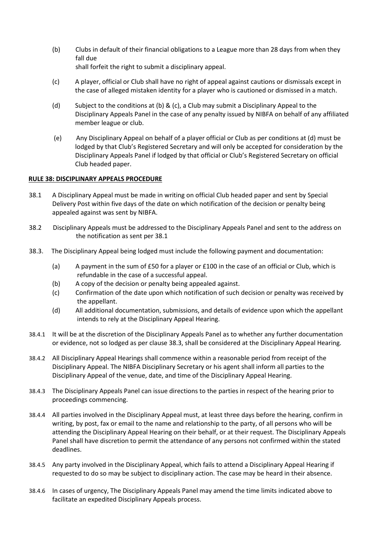(b) Clubs in default of their financial obligations to a League more than 28 days from when they fall due

shall forfeit the right to submit a disciplinary appeal.

- (c) A player, official or Club shall have no right of appeal against cautions or dismissals except in the case of alleged mistaken identity for a player who is cautioned or dismissed in a match.
- (d) Subject to the conditions at (b) & (c), a Club may submit a Disciplinary Appeal to the Disciplinary Appeals Panel in the case of any penalty issued by NIBFA on behalf of any affiliated member league or club.
- (e) Any Disciplinary Appeal on behalf of a player official or Club as per conditions at (d) must be lodged by that Club's Registered Secretary and will only be accepted for consideration by the Disciplinary Appeals Panel if lodged by that official or Club's Registered Secretary on official Club headed paper.

#### **RULE 38: DISCIPLINARY APPEALS PROCEDURE**

- 38.1 A Disciplinary Appeal must be made in writing on official Club headed paper and sent by Special Delivery Post within five days of the date on which notification of the decision or penalty being appealed against was sent by NIBFA.
- 38.2 Disciplinary Appeals must be addressed to the Disciplinary Appeals Panel and sent to the address on the notification as sent per 38.1
- 38.3. The Disciplinary Appeal being lodged must include the following payment and documentation:
	- (a) A payment in the sum of £50 for a player or £100 in the case of an official or Club, which is refundable in the case of a successful appeal.
	- (b) A copy of the decision or penalty being appealed against.
	- (c) Confirmation of the date upon which notification of such decision or penalty was received by the appellant.
	- (d) All additional documentation, submissions, and details of evidence upon which the appellant intends to rely at the Disciplinary Appeal Hearing.
- 38.4.1 It will be at the discretion of the Disciplinary Appeals Panel as to whether any further documentation or evidence, not so lodged as per clause 38.3, shall be considered at the Disciplinary Appeal Hearing.
- 38.4.2 All Disciplinary Appeal Hearings shall commence within a reasonable period from receipt of the Disciplinary Appeal. The NIBFA Disciplinary Secretary or his agent shall inform all parties to the Disciplinary Appeal of the venue, date, and time of the Disciplinary Appeal Hearing.
- 38.4.3 The Disciplinary Appeals Panel can issue directions to the parties in respect of the hearing prior to proceedings commencing.
- 38.4.4 All parties involved in the Disciplinary Appeal must, at least three days before the hearing, confirm in writing, by post, fax or email to the name and relationship to the party, of all persons who will be attending the Disciplinary Appeal Hearing on their behalf, or at their request. The Disciplinary Appeals Panel shall have discretion to permit the attendance of any persons not confirmed within the stated deadlines.
- 38.4.5 Any party involved in the Disciplinary Appeal, which fails to attend a Disciplinary Appeal Hearing if requested to do so may be subject to disciplinary action. The case may be heard in their absence.
- 38.4.6 In cases of urgency, The Disciplinary Appeals Panel may amend the time limits indicated above to facilitate an expedited Disciplinary Appeals process.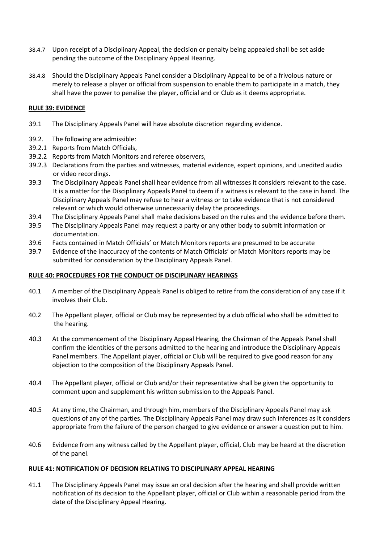- 38.4.7 Upon receipt of a Disciplinary Appeal, the decision or penalty being appealed shall be set aside pending the outcome of the Disciplinary Appeal Hearing.
- 38.4.8 Should the Disciplinary Appeals Panel consider a Disciplinary Appeal to be of a frivolous nature or merely to release a player or official from suspension to enable them to participate in a match, they shall have the power to penalise the player, official and or Club as it deems appropriate.

#### **RULE 39: EVIDENCE**

- 39.1 The Disciplinary Appeals Panel will have absolute discretion regarding evidence.
- 39.2. The following are admissible:
- 39.2.1 Reports from Match Officials,
- 39.2.2 Reports from Match Monitors and referee observers,
- 39.2.3 Declarations from the parties and witnesses, material evidence, expert opinions, and unedited audio or video recordings.
- 39.3 The Disciplinary Appeals Panel shall hear evidence from all witnesses it considers relevant to the case. It is a matter for the Disciplinary Appeals Panel to deem if a witness is relevant to the case in hand. The Disciplinary Appeals Panel may refuse to hear a witness or to take evidence that is not considered relevant or which would otherwise unnecessarily delay the proceedings.
- 39.4 The Disciplinary Appeals Panel shall make decisions based on the rules and the evidence before them.
- 39.5 The Disciplinary Appeals Panel may request a party or any other body to submit information or documentation.
- 39.6 Facts contained in Match Officials' or Match Monitors reports are presumed to be accurate
- 39.7 Evidence of the inaccuracy of the contents of Match Officials' or Match Monitors reports may be submitted for consideration by the Disciplinary Appeals Panel.

#### **RULE 40: PROCEDURES FOR THE CONDUCT OF DISCIPLINARY HEARINGS**

- 40.1 A member of the Disciplinary Appeals Panel is obliged to retire from the consideration of any case if it involves their Club.
- 40.2 The Appellant player, official or Club may be represented by a club official who shall be admitted to the hearing.
- 40.3 At the commencement of the Disciplinary Appeal Hearing, the Chairman of the Appeals Panel shall confirm the identities of the persons admitted to the hearing and introduce the Disciplinary Appeals Panel members. The Appellant player, official or Club will be required to give good reason for any objection to the composition of the Disciplinary Appeals Panel.
- 40.4 The Appellant player, official or Club and/or their representative shall be given the opportunity to comment upon and supplement his written submission to the Appeals Panel.
- 40.5 At any time, the Chairman, and through him, members of the Disciplinary Appeals Panel may ask questions of any of the parties. The Disciplinary Appeals Panel may draw such inferences as it considers appropriate from the failure of the person charged to give evidence or answer a question put to him.
- 40.6 Evidence from any witness called by the Appellant player, official, Club may be heard at the discretion of the panel.

#### **RULE 41: NOTIFICATION OF DECISION RELATING TO DISCIPLINARY APPEAL HEARING**

41.1 The Disciplinary Appeals Panel may issue an oral decision after the hearing and shall provide written notification of its decision to the Appellant player, official or Club within a reasonable period from the date of the Disciplinary Appeal Hearing.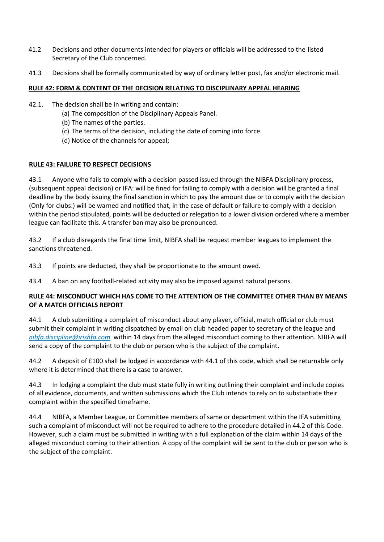- 41.2 Decisions and other documents intended for players or officials will be addressed to the listed Secretary of the Club concerned.
- 41.3 Decisions shall be formally communicated by way of ordinary letter post, fax and/or electronic mail.

### **RULE 42: FORM & CONTENT OF THE DECISION RELATING TO DISCIPLINARY APPEAL HEARING**

- 42.1. The decision shall be in writing and contain:
	- (a) The composition of the Disciplinary Appeals Panel.
	- (b) The names of the parties.
	- (c) The terms of the decision, including the date of coming into force.
	- (d) Notice of the channels for appeal;

#### **RULE 43: FAILURE TO RESPECT DECISIONS**

43.1 Anyone who fails to comply with a decision passed issued through the NIBFA Disciplinary process, (subsequent appeal decision) or IFA: will be fined for failing to comply with a decision will be granted a final deadline by the body issuing the final sanction in which to pay the amount due or to comply with the decision (Only for clubs:) will be warned and notified that, in the case of default or failure to comply with a decision within the period stipulated, points will be deducted or relegation to a lower division ordered where a member league can facilitate this. A transfer ban may also be pronounced.

43.2 If a club disregards the final time limit, NIBFA shall be request member leagues to implement the sanctions threatened.

43.3 If points are deducted, they shall be proportionate to the amount owed.

43.4 A ban on any football-related activity may also be imposed against natural persons.

#### **RULE 44: MISCONDUCT WHICH HAS COME TO THE ATTENTION OF THE COMMITTEE OTHER THAN BY MEANS OF A MATCH OFFICIALS REPORT**

44.1 A club submitting a complaint of misconduct about any player, official, match official or club must submit their complaint in writing dispatched by email on club headed paper to secretary of the league and *nibfa[.discipline@irishfa.com](mailto:discipline@irishfa.com)* within 14 days from the alleged misconduct coming to their attention. NIBFA will send a copy of the complaint to the club or person who is the subject of the complaint.

44.2 A deposit of £100 shall be lodged in accordance with 44.1 of this code, which shall be returnable only where it is determined that there is a case to answer.

44.3 In lodging a complaint the club must state fully in writing outlining their complaint and include copies of all evidence, documents, and written submissions which the Club intends to rely on to substantiate their complaint within the specified timeframe.

44.4 NIBFA, a Member League, or Committee members of same or department within the IFA submitting such a complaint of misconduct will not be required to adhere to the procedure detailed in 44.2 of this Code. However, such a claim must be submitted in writing with a full explanation of the claim within 14 days of the alleged misconduct coming to their attention. A copy of the complaint will be sent to the club or person who is the subject of the complaint.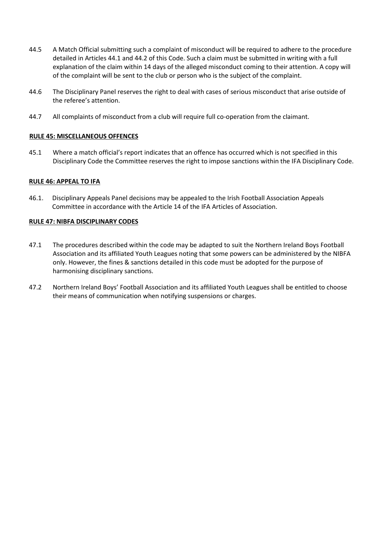- 44.5 A Match Official submitting such a complaint of misconduct will be required to adhere to the procedure detailed in Articles 44.1 and 44.2 of this Code. Such a claim must be submitted in writing with a full explanation of the claim within 14 days of the alleged misconduct coming to their attention. A copy will of the complaint will be sent to the club or person who is the subject of the complaint.
- 44.6 The Disciplinary Panel reserves the right to deal with cases of serious misconduct that arise outside of the referee's attention.
- 44.7 All complaints of misconduct from a club will require full co-operation from the claimant.

#### **RULE 45: MISCELLANEOUS OFFENCES**

45.1 Where a match official's report indicates that an offence has occurred which is not specified in this Disciplinary Code the Committee reserves the right to impose sanctions within the IFA Disciplinary Code.

#### **RULE 46: APPEAL TO IFA**

46.1. Disciplinary Appeals Panel decisions may be appealed to the Irish Football Association Appeals Committee in accordance with the Article 14 of the IFA Articles of Association.

#### **RULE 47: NIBFA DISCIPLINARY CODES**

- 47.1 The procedures described within the code may be adapted to suit the Northern Ireland Boys Football Association and its affiliated Youth Leagues noting that some powers can be administered by the NIBFA only. However, the fines & sanctions detailed in this code must be adopted for the purpose of harmonising disciplinary sanctions.
- 47.2 Northern Ireland Boys' Football Association and its affiliated Youth Leagues shall be entitled to choose their means of communication when notifying suspensions or charges.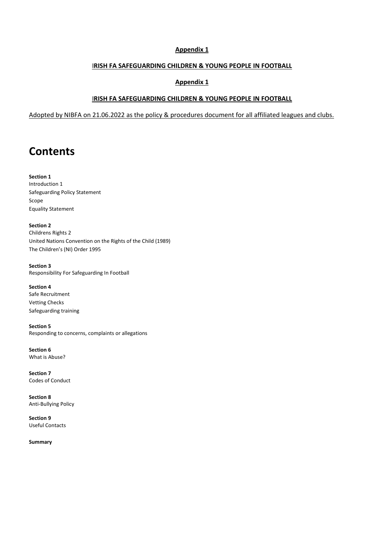#### **Appendix 1**

#### I**RISH FA SAFEGUARDING CHILDREN & YOUNG PEOPLE IN FOOTBALL**

#### **Appendix 1**

#### I**RISH FA SAFEGUARDING CHILDREN & YOUNG PEOPLE IN FOOTBALL**

Adopted by NIBFA on 21.06.2022 as the policy & procedures document for all affiliated leagues and clubs.

# **Contents**

**Section 1**  Introduction 1 Safeguarding Policy Statement Scope Equality Statement

**Section 2**  Childrens Rights 2 United Nations Convention on the Rights of the Child (1989) The Children's (NI) Order 1995

**Section 3**  Responsibility For Safeguarding In Football

**Section 4**  Safe Recruitment Vetting Checks Safeguarding training

**Section 5**  Responding to concerns, complaints or allegations

**Section 6**  What is Abuse?

**Section 7**  Codes of Conduct

**Section 8**  Anti-Bullying Policy

**Section 9**  Useful Contacts

**Summary**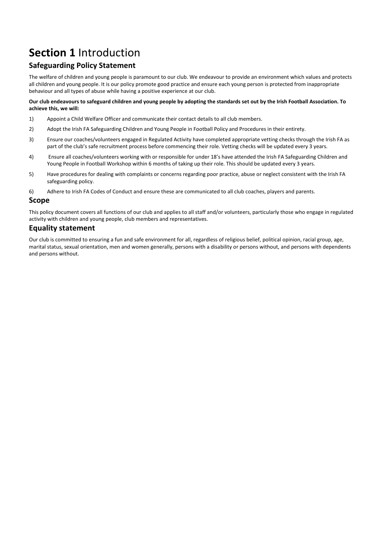# **Section 1** Introduction

## **Safeguarding Policy Statement**

The welfare of children and young people is paramount to our club. We endeavour to provide an environment which values and protects all children and young people. It is our policy promote good practice and ensure each young person is protected from inappropriate behaviour and all types of abuse while having a positive experience at our club.

#### **Our club endeavours to safeguard children and young people by adopting the standards set out by the Irish Football Association. To achieve this, we will:**

- 1) Appoint a Child Welfare Officer and communicate their contact details to all club members.
- 2) Adopt the Irish FA Safeguarding Children and Young People in Football Policy and Procedures in their entirety.
- 3) Ensure our coaches/volunteers engaged in Regulated Activity have completed appropriate vetting checks through the Irish FA as part of the club's safe recruitment process before commencing their role. Vetting checks will be updated every 3 years.
- 4) Ensure all coaches/volunteers working with or responsible for under 18's have attended the Irish FA Safeguarding Children and Young People in Football Workshop within 6 months of taking up their role. This should be updated every 3 years.
- 5) Have procedures for dealing with complaints or concerns regarding poor practice, abuse or neglect consistent with the Irish FA safeguarding policy.
- 6) Adhere to Irish FA Codes of Conduct and ensure these are communicated to all club coaches, players and parents.

#### **Scope**

This policy document covers all functions of our club and applies to all staff and/or volunteers, particularly those who engage in regulated activity with children and young people, club members and representatives.

#### **Equality statement**

Our club is committed to ensuring a fun and safe environment for all, regardless of religious belief, political opinion, racial group, age, marital status, sexual orientation, men and women generally, persons with a disability or persons without, and persons with dependents and persons without.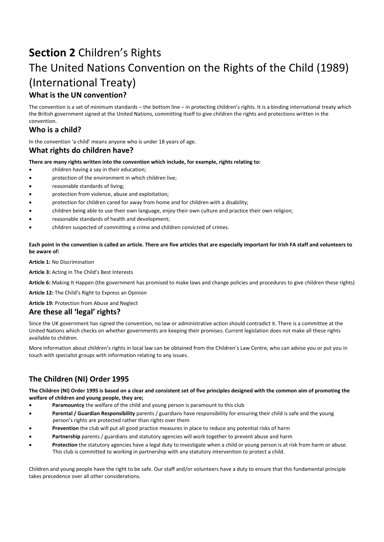# **Section 2** Children's Rights The United Nations Convention on the Rights of the Child (1989) (International Treaty) **What is the UN convention?**

The convention is a set of minimum standards – the bottom line – in protecting children's rights. It is a binding international treaty which the British government signed at the United Nations, committing itself to give children the rights and protections written in the convention.

### **Who is a child?**

In the convention 'a child' means anyone who is under 18 years of age.

### **What rights do children have?**

**There are many rights written into the convention which include, for example, rights relating to:** 

- children having a say in their education;
- protection of the environment in which children live;
- reasonable standards of living;
- protection from violence, abuse and exploitation;
- protection for children cared for away from home and for children with a disability;
- children being able to use their own language, enjoy their own culture and practice their own religion;
- reasonable standards of health and development;
- children suspected of committing a crime and children convicted of crimes.

**Each point in the convention is called an article. There are five articles that are especially important for Irish FA staff and volunteers to be aware of:** 

**Article 1:** No Discrimination

**Article 3:** Acting in The Child's Best Interests

**Article 6:** Making It Happen (the government has promised to make laws and change policies and procedures to give children these rights)

**Article 12:** The Child's Right to Express an Opinion

#### **Article 19:** Protection from Abuse and Neglect

#### **Are these all 'legal' rights?**

Since the UK government has signed the convention, no law or administrative action should contradict it. There is a committee at the United Nations which checks on whether governments are keeping their promises. Current legislation does not make all these rights available to children.

More information about children's rights in local law can be obtained from the Children's Law Centre, who can advise you or put you in touch with specialist groups with information relating to any issues.

### **The Children (NI) Order 1995**

**The Children (NI) Order 1995 is based on a clear and consistent set of five principles designed with the common aim of promoting the welfare of children and young people, they are;** 

- Paramountcy the welfare of the child and young person is paramount to this club
- **Parental / Guardian Responsibility** parents / guardians have responsibility for ensuring their child is safe and the young person's rights are protected rather than rights over them
- **Prevention** the club will put all good practice measures in place to reduce any potential risks of harm
- Partnership parents / guardians and statutory agencies will work together to prevent abuse and harm
- **Protection** the statutory agencies have a legal duty to investigate when a child or young person is at risk from harm or abuse. This club is committed to working in partnership with any statutory intervention to protect a child.

Children and young people have the right to be safe. Our staff and/or volunteers have a duty to ensure that this fundamental principle takes precedence over all other considerations.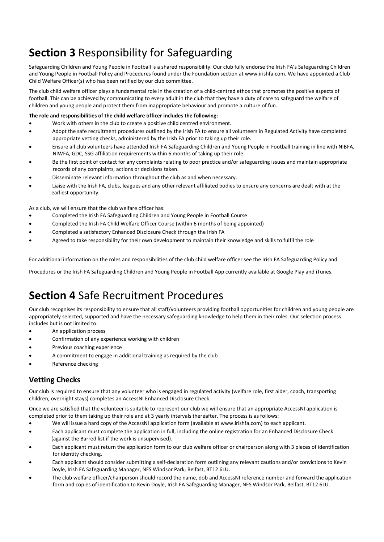# **Section 3** Responsibility for Safeguarding

Safeguarding Children and Young People in Football is a shared responsibility. Our club fully endorse the Irish FA's Safeguarding Children and Young People in Football Policy and Procedures found under the Foundation section at www.irishfa.com. We have appointed a Club Child Welfare Officer(s) who has been ratified by our club committee.

The club child welfare officer plays a fundamental role in the creation of a child-centred ethos that promotes the positive aspects of football. This can be achieved by communicating to every adult in the club that they have a duty of care to safeguard the welfare of children and young people and protect them from inappropriate behaviour and promote a culture of fun.

#### **The role and responsibilities of the child welfare officer includes the following:**

- Work with others in the club to create a positive child centred environment.
- Adopt the safe recruitment procedures outlined by the Irish FA to ensure all volunteers in Regulated Activity have completed appropriate vetting checks, administered by the Irish FA prior to taking up their role.
- Ensure all club volunteers have attended Irish FA Safeguarding Children and Young People in Football training in line with NIBFA, NIWFA, GDC, SSG affiliation requirements within 6 months of taking up their role.
- Be the first point of contact for any complaints relating to poor practice and/or safeguarding issues and maintain appropriate records of any complaints, actions or decisions taken.
- Disseminate relevant information throughout the club as and when necessary.
- Liaise with the Irish FA, clubs, leagues and any other relevant affiliated bodies to ensure any concerns are dealt with at the earliest opportunity.

As a club, we will ensure that the club welfare officer has:

- Completed the Irish FA Safeguarding Children and Young People in Football Course
- Completed the Irish FA Child Welfare Officer Course (within 6 months of being appointed)
- Completed a satisfactory Enhanced Disclosure Check through the Irish FA
- Agreed to take responsibility for their own development to maintain their knowledge and skills to fulfil the role

For additional information on the roles and responsibilities of the club child welfare officer see the Irish FA Safeguarding Policy and

Procedures or the Irish FA Safeguarding Children and Young People in Football App currently available at Google Play and iTunes.

# **Section 4** Safe Recruitment Procedures

Our club recognises its responsibility to ensure that all staff/volunteers providing football opportunities for children and young people are appropriately selected, supported and have the necessary safeguarding knowledge to help them in their roles. Our selection process includes but is not limited to:

- An application process
- Confirmation of any experience working with children
- Previous coaching experience
- A commitment to engage in additional training as required by the club
- Reference checking

### **Vetting Checks**

Our club is required to ensure that any volunteer who is engaged in regulated activity (welfare role, first aider, coach, transporting children, overnight stays) completes an AccessNI Enhanced Disclosure Check.

Once we are satisfied that the volunteer is suitable to represent our club we will ensure that an appropriate AccessNI application is completed prior to them taking up their role and at 3 yearly intervals thereafter. The process is as follows:

- We will issue a hard copy of the AccessNI application form (available at www.irishfa.com) to each applicant.
- Each applicant must complete the application in full, including the online registration for an Enhanced Disclosure Check (against the Barred list if the work is unsupervised).
- Each applicant must return the application form to our club welfare officer or chairperson along with 3 pieces of identification for identity checking.
- Each applicant should consider submitting a self-declaration form outlining any relevant cautions and/or convictions to Kevin Doyle, Irish FA Safeguarding Manager, NFS Windsor Park, Belfast, BT12 6LU.
- The club welfare officer/chairperson should record the name, dob and AccessNI reference number and forward the application form and copies of identification to Kevin Doyle, Irish FA Safeguarding Manager, NFS Windsor Park, Belfast, BT12 6LU.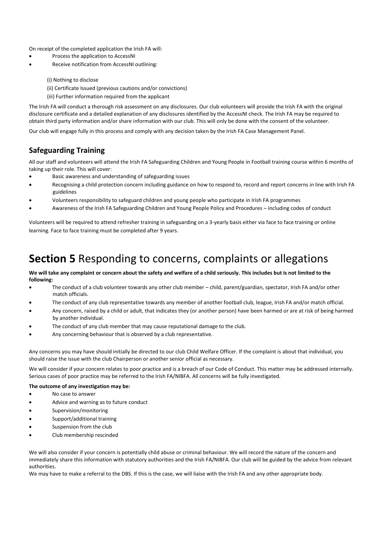On receipt of the completed application the Irish FA will:

- Process the application to AccessNI
- Receive notification from AccessNI outlining:

(i) Nothing to disclose

(ii) Certificate Issued (previous cautions and/or convictions)

(iii) Further information required from the applicant

The Irish FA will conduct a thorough risk assessment on any disclosures. Our club volunteers will provide the Irish FA with the original disclosure certificate and a detailed explanation of any disclosures identified by the AccessNI check. The Irish FA may be required to obtain third party information and/or share information with our club. This will only be done with the consent of the volunteer.

Our club will engage fully in this process and comply with any decision taken by the Irish FA Case Management Panel.

### **Safeguarding Training**

All our staff and volunteers will attend the Irish FA Safeguarding Children and Young People in Football training course within 6 months of taking up their role. This will cover:

- Basic awareness and understanding of safeguarding issues
- Recognising a child protection concern including guidance on how to respond to, record and report concerns in line with Irish FA guidelines
- Volunteers responsibility to safeguard children and young people who participate in Irish FA programmes
- Awareness of the Irish FA Safeguarding Children and Young People Policy and Procedures including codes of conduct

Volunteers will be required to attend refresher training in safeguarding on a 3-yearly basis either via face to face training or online learning. Face to face training must be completed after 9 years.

# **Section 5** Responding to concerns, complaints or allegations

**We will take any complaint or concern about the safety and welfare of a child seriously. This includes but is not limited to the following:** 

- The conduct of a club volunteer towards any other club member child, parent/guardian, spectator, Irish FA and/or other match officials.
- The conduct of any club representative towards any member of another football club, league, Irish FA and/or match official.
- Any concern, raised by a child or adult, that indicates they (or another person) have been harmed or are at risk of being harmed by another individual.
- The conduct of any club member that may cause reputational damage to the club.
- Any concerning behaviour that is observed by a club representative.

Any concerns you may have should initially be directed to our club Child Welfare Officer. If the complaint is about that individual, you should raise the issue with the club Chairperson or another senior official as necessary.

We will consider if your concern relates to poor practice and is a breach of our Code of Conduct. This matter may be addressed internally. Serious cases of poor practice may be referred to the Irish FA/NIBFA. All concerns will be fully investigated.

#### **The outcome of any investigation may be:**

- No case to answer
- Advice and warning as to future conduct
- Supervision/monitoring
- Support/additional training
- Suspension from the club
- Club membership rescinded

We will also consider if your concern is potentially child abuse or criminal behaviour. We will record the nature of the concern and immediately share this information with statutory authorities and the Irish FA/NIBFA. Our club will be guided by the advice from relevant authorities.

We may have to make a referral to the DBS. If this is the case, we will liaise with the Irish FA and any other appropriate body.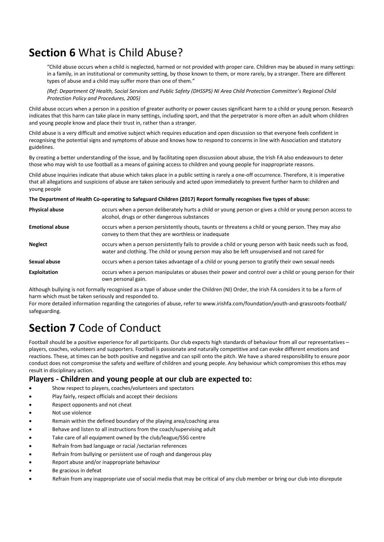# **Section 6** What is Child Abuse?

"Child abuse occurs when a child is neglected, harmed or not provided with proper care. Children may be abused in many settings: in a family, in an institutional or community setting, by those known to them, or more rarely, by a stranger. There are different types of abuse and a child may suffer more than one of them."

*(Ref: Department Of Health, Social Services and Public Safety (DHSSPS) NI Area Child Protection Committee's Regional Child Protection Policy and Procedures, 2005)* 

Child abuse occurs when a person in a position of greater authority or power causes significant harm to a child or young person. Research indicates that this harm can take place in many settings, including sport, and that the perpetrator is more often an adult whom children and young people know and place their trust in, rather than a stranger.

Child abuse is a very difficult and emotive subject which requires education and open discussion so that everyone feels confident in recognising the potential signs and symptoms of abuse and knows how to respond to concerns in line with Association and statutory guidelines.

By creating a better understanding of the issue, and by facilitating open discussion about abuse, the Irish FA also endeavours to deter those who may wish to use football as a means of gaining access to children and young people for inappropriate reasons.

Child abuse inquiries indicate that abuse which takes place in a public setting is rarely a one-off occurrence. Therefore, it is imperative that all allegations and suspicions of abuse are taken seriously and acted upon immediately to prevent further harm to children and young people

**The Department of Health Co-operating to Safeguard Children (2017) Report formally recognises five types of abuse:** 

| <b>Physical abuse</b>  | occurs when a person deliberately hurts a child or young person or gives a child or young person access to<br>alcohol, drugs or other dangerous substances                                                 |  |
|------------------------|------------------------------------------------------------------------------------------------------------------------------------------------------------------------------------------------------------|--|
| <b>Emotional abuse</b> | occurs when a person persistently shouts, taunts or threatens a child or young person. They may also<br>convey to them that they are worthless or inadequate                                               |  |
| <b>Neglect</b>         | occurs when a person persistently fails to provide a child or young person with basic needs such as food,<br>water and clothing. The child or young person may also be left unsupervised and not cared for |  |
| Sexual abuse           | occurs when a person takes advantage of a child or young person to gratify their own sexual needs                                                                                                          |  |
| <b>Exploitation</b>    | occurs when a person manipulates or abuses their power and control over a child or young person for their<br>own personal gain.                                                                            |  |

Although bullying is not formally recognised as a type of abuse under the Children (NI) Order, the Irish FA considers it to be a form of harm which must be taken seriously and responded to.

For more detailed information regarding the categories of abuse, refer to www.irishfa.com/foundation/youth-and-grassroots-football/ safeguarding.

# **Section 7** Code of Conduct

Football should be a positive experience for all participants. Our club expects high standards of behaviour from all our representatives – players, coaches, volunteers and supporters. Football is passionate and naturally competitive and can evoke different emotions and reactions. These, at times can be both positive and negative and can spill onto the pitch. We have a shared responsibility to ensure poor conduct does not compromise the safety and welfare of children and young people. Any behaviour which compromises this ethos may result in disciplinary action.

#### **Players - Children and young people at our club are expected to:**

- Show respect to players, coaches/volunteers and spectators
- Play fairly, respect officials and accept their decisions
- Respect opponents and not cheat
- Not use violence
- Remain within the defined boundary of the playing area/coaching area
- Behave and listen to all instructions from the coach/supervising adult
- Take care of all equipment owned by the club/league/SSG centre
- Refrain from bad language or racial /sectarian references
- Refrain from bullying or persistent use of rough and dangerous play
- Report abuse and/or inappropriate behaviour
- Be gracious in defeat
- Refrain from any inappropriate use of social media that may be critical of any club member or bring our club into disrepute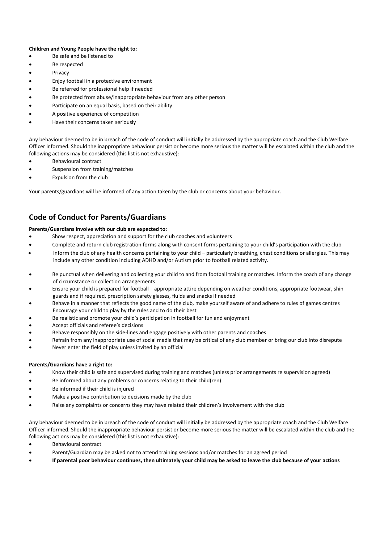#### **Children and Young People have the right to:**

- Be safe and be listened to
- Be respected
- **Privacy**
- Enjoy football in a protective environment
- Be referred for professional help if needed
- Be protected from abuse/inappropriate behaviour from any other person
- Participate on an equal basis, based on their ability
- A positive experience of competition
- Have their concerns taken seriously

Any behaviour deemed to be in breach of the code of conduct will initially be addressed by the appropriate coach and the Club Welfare Officer informed. Should the inappropriate behaviour persist or become more serious the matter will be escalated within the club and the following actions may be considered (this list is not exhaustive):

- Behavioural contract
- Suspension from training/matches
- Expulsion from the club

Your parents/guardians will be informed of any action taken by the club or concerns about your behaviour.

### **Code of Conduct for Parents/Guardians**

#### **Parents/Guardians involve with our club are expected to:**

- Show respect, appreciation and support for the club coaches and volunteers
- Complete and return club registration forms along with consent forms pertaining to your child's participation with the club
- Inform the club of any health concerns pertaining to your child particularly breathing, chest conditions or allergies. This may include any other condition including ADHD and/or Autism prior to football related activity.
- Be punctual when delivering and collecting your child to and from football training or matches. Inform the coach of any change of circumstance or collection arrangements
- Ensure your child is prepared for football appropriate attire depending on weather conditions, appropriate footwear, shin guards and if required, prescription safety glasses, fluids and snacks if needed
- Behave in a manner that reflects the good name of the club, make yourself aware of and adhere to rules of games centres Encourage your child to play by the rules and to do their best
- Be realistic and promote your child's participation in football for fun and enjoyment
- Accept officials and referee's decisions
- Behave responsibly on the side-lines and engage positively with other parents and coaches
- Refrain from any inappropriate use of social media that may be critical of any club member or bring our club into disrepute
- Never enter the field of play unless invited by an official

#### **Parents/Guardians have a right to:**

- Know their child is safe and supervised during training and matches (unless prior arrangements re supervision agreed)
- Be informed about any problems or concerns relating to their child(ren)
- Be informed if their child is injured
- Make a positive contribution to decisions made by the club
- Raise any complaints or concerns they may have related their children's involvement with the club

Any behaviour deemed to be in breach of the code of conduct will initially be addressed by the appropriate coach and the Club Welfare Officer informed. Should the inappropriate behaviour persist or become more serious the matter will be escalated within the club and the following actions may be considered (this list is not exhaustive):

- Behavioural contract
- Parent/Guardian may be asked not to attend training sessions and/or matches for an agreed period
- **If parental poor behaviour continues, then ultimately your child may be asked to leave the club because of your actions**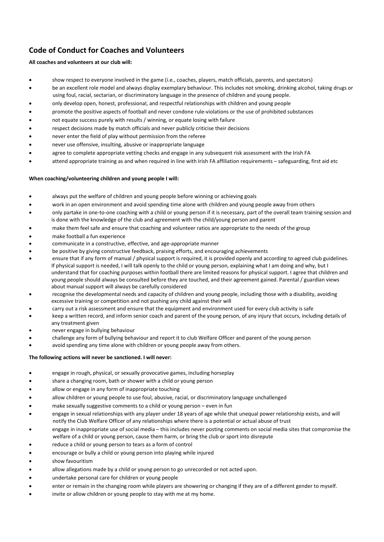## **Code of Conduct for Coaches and Volunteers**

#### **All coaches and volunteers at our club will:**

- show respect to everyone involved in the game (i.e., coaches, players, match officials, parents, and spectators)
- be an excellent role model and always display exemplary behaviour. This includes not smoking, drinking alcohol, taking drugs or using foul, racial, sectarian, or discriminatory language in the presence of children and young people.
- only develop open, honest, professional, and respectful relationships with children and young people
- promote the positive aspects of football and never condone rule-violations or the use of prohibited substances
- not equate success purely with results / winning, or equate losing with failure
- respect decisions made by match officials and never publicly criticise their decisions
- never enter the field of play without permission from the referee
- never use offensive, insulting, abusive or inappropriate language
- agree to complete appropriate vetting checks and engage in any subsequent risk assessment with the Irish FA
- attend appropriate training as and when required in line with Irish FA affiliation requirements safeguarding, first aid etc

#### **When coaching/volunteering children and young people I will:**

- always put the welfare of children and young people before winning or achieving goals
- work in an open environment and avoid spending time alone with children and young people away from others
- only partake in one-to-one coaching with a child or young person if it is necessary, part of the overall team training session and is done with the knowledge of the club and agreement with the child/young person and parent
- make them feel safe and ensure that coaching and volunteer ratios are appropriate to the needs of the group
- make football a fun experience
- communicate in a constructive, effective, and age-appropriate manner
- be positive by giving constructive feedback, praising efforts, and encouraging achievements
- ensure that if any form of manual / physical support is required, it is provided openly and according to agreed club guidelines. If physical support is needed, I will talk openly to the child or young person, explaining what I am doing and why, but I understand that for coaching purposes within football there are limited reasons for physical support. I agree that children and young people should always be consulted before they are touched, and their agreement gained. Parental / guardian views about manual support will always be carefully considered
- recognise the developmental needs and capacity of children and young people, including those with a disability, avoiding excessive training or competition and not pushing any child against their will
- carry out a risk assessment and ensure that the equipment and environment used for every club activity is safe
- keep a written record, and inform senior coach and parent of the young person, of any injury that occurs, including details of any treatment given
- never engage in bullying behaviour
- challenge any form of bullying behaviour and report it to club Welfare Officer and parent of the young person
- avoid spending any time alone with children or young people away from others.

#### **The following actions will never be sanctioned. I will never:**

- engage in rough, physical, or sexually provocative games, including horseplay
- share a changing room, bath or shower with a child or young person
- allow or engage in any form of inappropriate touching
- allow children or young people to use foul, abusive, racial, or discriminatory language unchallenged
- make sexually suggestive comments to a child or young person even in fun
- engage in sexual relationships with any player under 18 years of age while that unequal power relationship exists, and will notify the Club Welfare Officer of any relationships where there is a potential or actual abuse of trust
- engage in inappropriate use of social media this includes never posting comments on social media sites that compromise the welfare of a child or young person, cause them harm, or bring the club or sport into disrepute
- reduce a child or young person to tears as a form of control
- encourage or bully a child or young person into playing while injured
- show favouritism
- allow allegations made by a child or young person to go unrecorded or not acted upon.
- undertake personal care for children or young people
- enter or remain in the changing room while players are showering or changing if they are of a different gender to myself.
- invite or allow children or young people to stay with me at my home.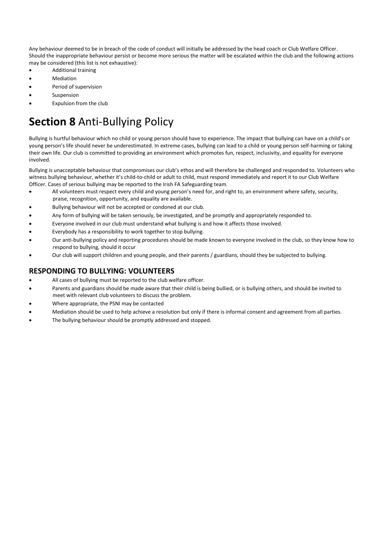Any behaviour deemed to be in breach of the code of conduct will initially be addressed by the head coach or Club Welfare Officer. Should the inappropriate behaviour persist or become more serious the matter will be escalated within the club and the following actions may be considered (this list is not exhaustive):

- Additional training
- Mediation
- Period of supervision
- **Suspension**
- Expulsion from the club

# **Section 8** Anti-Bullying Policy

Bullying is hurtful behaviour which no child or young person should have to experience. The impact that bullying can have on a child's or young person's life should never be underestimated. In extreme cases, bullying can lead to a child or young person self-harming or taking their own life. Our club is committed to providing an environment which promotes fun, respect, inclusivity, and equality for everyone involved.

Bullying is unacceptable behaviour that compromises our club's ethos and will therefore be challenged and responded to. Volunteers who witness bullying behaviour, whether it's child-to-child or adult to child, must respond immediately and report it to our Club Welfare Officer. Cases of serious bullying may be reported to the Irish FA Safeguarding team.

- All volunteers must respect every child and young person's need for, and right to, an environment where safety, security, praise, recognition, opportunity, and equality are available.
- Bullying behaviour will not be accepted or condoned at our club.
- Any form of bullying will be taken seriously, be investigated, and be promptly and appropriately responded to.
- Everyone involved in our club must understand what bullying is and how it affects those involved.
- Everybody has a responsibility to work together to stop bullying.
- Our anti-bullying policy and reporting procedures should be made known to everyone involved in the club, so they know how to respond to bullying, should it occur
- Our club will support children and young people, and their parents / guardians, should they be subjected to bullying.

### **RESPONDING TO BULLYING: VOLUNTEERS**

- All cases of bullying must be reported to the club welfare officer.
- Parents and guardians should be made aware that their child is being bullied, or is bullying others, and should be invited to meet with relevant club volunteers to discuss the problem.
- Where appropriate, the PSNI may be contacted
- Mediation should be used to help achieve a resolution but only if there is informal consent and agreement from all parties.
- The bullying behaviour should be promptly addressed and stopped.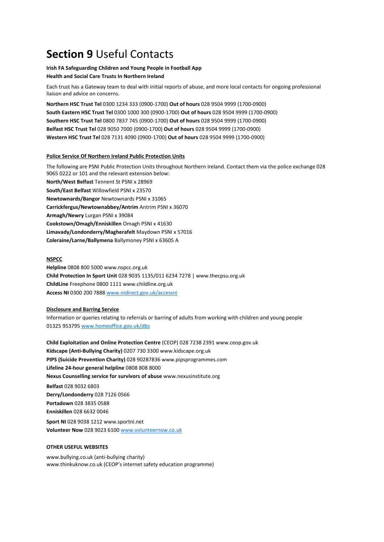# **Section 9** Useful Contacts

#### **Irish FA Safeguarding Children and Young People in Football App Health and Social Care Trusts In Northern Ireland**

Each trust has a Gateway team to deal with initial reports of abuse, and more local contacts for ongoing professional liaison and advice on concerns.

**Northern HSC Trust Tel** 0300 1234 333 (0900-1700) **Out of hours** 028 9504 9999 (1700-0900) **South Eastern HSC Trust Tel** 0300 1000 300 (0900-1700) **Out of hours** 028 9504 9999 (1700-0900) **Southern HSC Trust Tel** 0800 7837 745 (0900-1700) **Out of hours** 028 9504 9999 (1700-0900) **Belfast HSC Trust Tel** 028 9050 7000 (0900-1700) **Out of hours** 028 9504 9999 (1700-0900) **Western HSC Trust Tel** 028 7131 4090 (0900-1700) **Out of hours** 028 9504 9999 (1700-0900)

#### **Police Service Of Northern Ireland Public Protection Units**

The following are PSNI Public Protection Units throughout Northern Ireland. Contact them via the police exchange 028 9065 0222 or 101 and the relevant extension below: **North/West Belfast** Tennent St PSNI x 28969 **South/East Belfast** Willowfield PSNI x 23570 **Newtownards/Bangor** Newtownards PSNI x 31065 **Carrickfergus/Newtownabbey/Antrim** Antrim PSNI x 36070 **Armagh/Newry** Lurgan PSNI x 39084 **Cookstown/Omagh/Enniskillen** Omagh PSNI x 41630 **Limavady/Londonderry/Magherafelt** Maydown PSNI x 57016 **Coleraine/Larne/Ballymena** Ballymoney PSNI x 63605 A

#### **NSPCC**

**Helpline** 0808 800 5000 www.nspcc.org.uk **Child Protection In Sport Unit** 028 9035 1135/011 6234 7278 | www.thecpsu.org.uk **ChildLine** Freephone 0800 1111 www.childline.org.uk **Access NI** 0300 200 788[8 www.nidirect.gov.uk/accessni](http://www.nidirect.gov.uk/accessni)

#### **Disclosure and Barring Service**

Information or queries relating to referrals or barring of adults from working with children and young people 01325 95379[5 www.homeoffice.gov.uk/dbs](http://www.homeoffice.gov.uk/dbs)

**Child Exploitation and Online Protection Centre** (CEOP) 028 7238 2391 www.ceop.gov.uk **Kidscape (Anti-Bullying Charity)** 0207 730 3300 www.kidscape.org.uk **PIPS (Suicide Prevention Charity)** 028 90287836 www.pipsprogrammes.com **Lifeline 24-hour general helpline** 0808 808 8000 **Nexus Counselling service for survivors of abuse** www.nexusinstitute.org

**Belfast** 028 9032 6803 **Derry/Londonderry** 028 7126 0566 **Portadown** 028 3835 0588 **Enniskillen** 028 6632 0046

**Sport NI** 028 9038 1212 www.sportni.net **Volunteer Now** 028 9023 610[0 www.volunteernow.co.uk](http://www.volunteernow.co.uk/)

#### **OTHER USEFUL WEBSITES**

www.bullying.co.uk (anti-bullying charity) www.thinkuknow.co.uk (CEOP's internet safety education programme)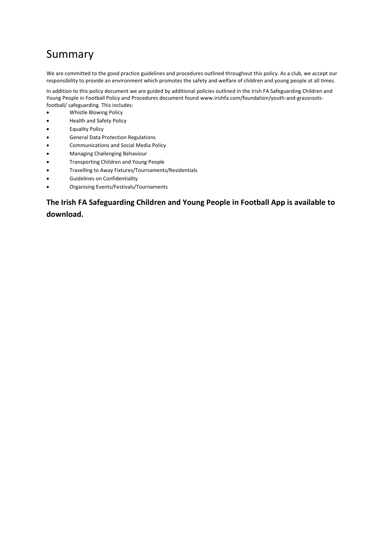# Summary

We are committed to the good practice guidelines and procedures outlined throughout this policy. As a club, we accept our responsibility to provide an environment which promotes the safety and welfare of children and young people at all times.

In addition to this policy document we are guided by additional policies outlined in the Irish FA Safeguarding Children and Young People in Football Policy and Procedures document found www.irishfa.com/foundation/youth-and-grassrootsfootball/ safeguarding. This includes:

- Whistle Blowing Policy
- Health and Safety Policy
- Equality Policy
- General Data Protection Regulations
- Communications and Social Media Policy
- Managing Challenging Behaviour
- Transporting Children and Young People
- Travelling to Away Fixtures/Tournaments/Residentials
- Guidelines on Confidentiality
- Organising Events/Festivals/Tournaments

## **The Irish FA Safeguarding Children and Young People in Football App is available to download.**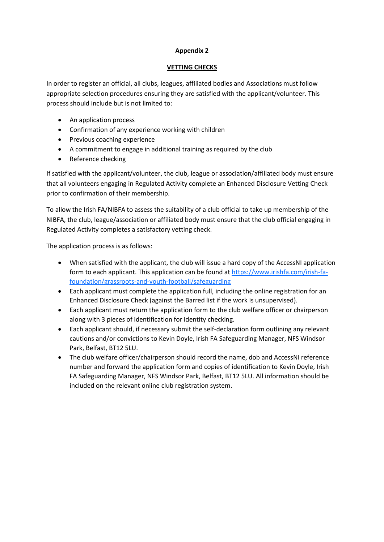#### **Appendix 2**

#### **VETTING CHECKS**

In order to register an official, all clubs, leagues, affiliated bodies and Associations must follow appropriate selection procedures ensuring they are satisfied with the applicant/volunteer. This process should include but is not limited to:

- An application process
- Confirmation of any experience working with children
- Previous coaching experience
- A commitment to engage in additional training as required by the club
- Reference checking

If satisfied with the applicant/volunteer, the club, league or association/affiliated body must ensure that all volunteers engaging in Regulated Activity complete an Enhanced Disclosure Vetting Check prior to confirmation of their membership.

To allow the Irish FA/NIBFA to assess the suitability of a club official to take up membership of the NIBFA, the club, league/association or affiliated body must ensure that the club official engaging in Regulated Activity completes a satisfactory vetting check.

The application process is as follows:

- When satisfied with the applicant, the club will issue a hard copy of the AccessNI application form to each applicant. This application can be found at [https://www.irishfa.com/irish-fa](https://www.irishfa.com/irish-fa-foundation/grassroots-and-youth-football/safeguarding)[foundation/grassroots-and-youth-football/safeguarding](https://www.irishfa.com/irish-fa-foundation/grassroots-and-youth-football/safeguarding)
- Each applicant must complete the application full, including the online registration for an Enhanced Disclosure Check (against the Barred list if the work is unsupervised).
- Each applicant must return the application form to the club welfare officer or chairperson along with 3 pieces of identification for identity checking.
- Each applicant should, if necessary submit the self-declaration form outlining any relevant cautions and/or convictions to Kevin Doyle, Irish FA Safeguarding Manager, NFS Windsor Park, Belfast, BT12 5LU.
- The club welfare officer/chairperson should record the name, dob and AccessNI reference number and forward the application form and copies of identification to Kevin Doyle, Irish FA Safeguarding Manager, NFS Windsor Park, Belfast, BT12 5LU. All information should be included on the relevant online club registration system.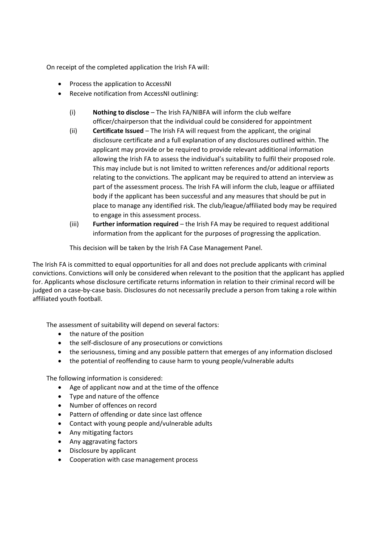On receipt of the completed application the Irish FA will:

- Process the application to AccessNI
- Receive notification from AccessNI outlining:
	- (i) **Nothing to disclose** The Irish FA/NIBFA will inform the club welfare officer/chairperson that the individual could be considered for appointment
	- (ii) **Certificate Issued** The Irish FA will request from the applicant, the original disclosure certificate and a full explanation of any disclosures outlined within. The applicant may provide or be required to provide relevant additional information allowing the Irish FA to assess the individual's suitability to fulfil their proposed role. This may include but is not limited to written references and/or additional reports relating to the convictions. The applicant may be required to attend an interview as part of the assessment process. The Irish FA will inform the club, league or affiliated body if the applicant has been successful and any measures that should be put in place to manage any identified risk. The club/league/affiliated body may be required to engage in this assessment process.
	- (iii) **Further information required** the Irish FA may be required to request additional information from the applicant for the purposes of progressing the application.

This decision will be taken by the Irish FA Case Management Panel.

The Irish FA is committed to equal opportunities for all and does not preclude applicants with criminal convictions. Convictions will only be considered when relevant to the position that the applicant has applied for. Applicants whose disclosure certificate returns information in relation to their criminal record will be judged on a case-by-case basis. Disclosures do not necessarily preclude a person from taking a role within affiliated youth football.

The assessment of suitability will depend on several factors:

- the nature of the position
- the self-disclosure of any prosecutions or convictions
- the seriousness, timing and any possible pattern that emerges of any information disclosed
- the potential of reoffending to cause harm to young people/vulnerable adults

The following information is considered:

- Age of applicant now and at the time of the offence
- Type and nature of the offence
- Number of offences on record
- Pattern of offending or date since last offence
- Contact with young people and/vulnerable adults
- Any mitigating factors
- Any aggravating factors
- Disclosure by applicant
- Cooperation with case management process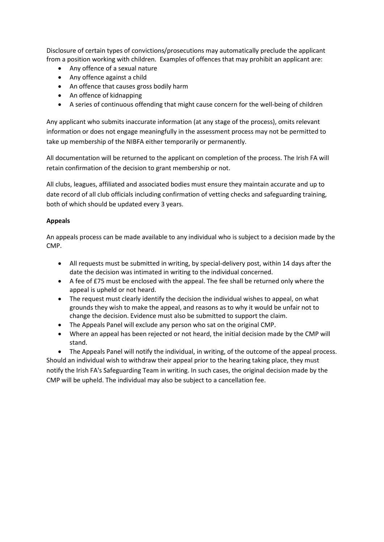Disclosure of certain types of convictions/prosecutions may automatically preclude the applicant from a position working with children. Examples of offences that may prohibit an applicant are:

- Any offence of a sexual nature
- Any offence against a child
- An offence that causes gross bodily harm
- An offence of kidnapping
- A series of continuous offending that might cause concern for the well-being of children

Any applicant who submits inaccurate information (at any stage of the process), omits relevant information or does not engage meaningfully in the assessment process may not be permitted to take up membership of the NIBFA either temporarily or permanently.

All documentation will be returned to the applicant on completion of the process. The Irish FA will retain confirmation of the decision to grant membership or not.

All clubs, leagues, affiliated and associated bodies must ensure they maintain accurate and up to date record of all club officials including confirmation of vetting checks and safeguarding training, both of which should be updated every 3 years.

#### **Appeals**

An appeals process can be made available to any individual who is subject to a decision made by the CMP.

- All requests must be submitted in writing, by special-delivery post, within 14 days after the date the decision was intimated in writing to the individual concerned.
- A fee of £75 must be enclosed with the appeal. The fee shall be returned only where the appeal is upheld or not heard.
- The request must clearly identify the decision the individual wishes to appeal, on what grounds they wish to make the appeal, and reasons as to why it would be unfair not to change the decision. Evidence must also be submitted to support the claim.
- The Appeals Panel will exclude any person who sat on the original CMP.
- Where an appeal has been rejected or not heard, the initial decision made by the CMP will stand.

• The Appeals Panel will notify the individual, in writing, of the outcome of the appeal process. Should an individual wish to withdraw their appeal prior to the hearing taking place, they must notify the Irish FA's Safeguarding Team in writing. In such cases, the original decision made by the CMP will be upheld. The individual may also be subject to a cancellation fee.